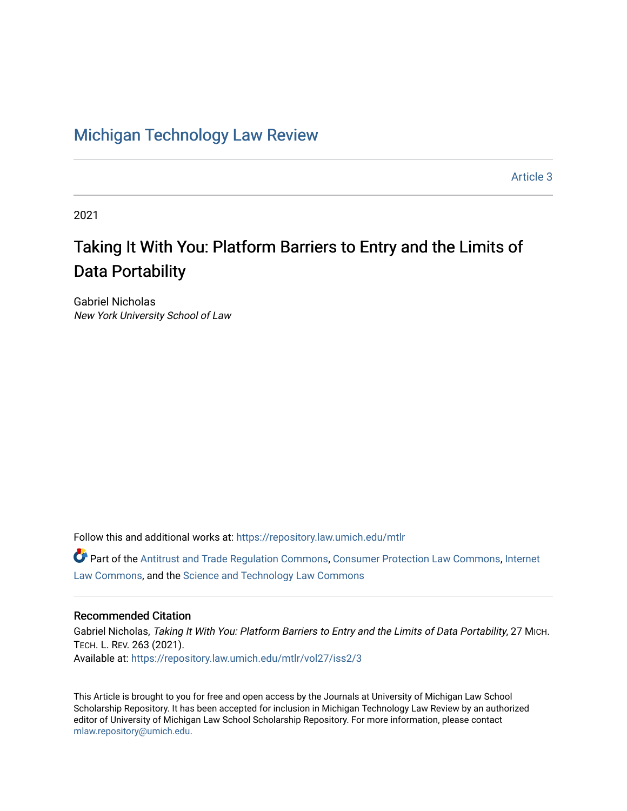# [Michigan Technology Law Review](https://repository.law.umich.edu/mtlr)

[Article 3](https://repository.law.umich.edu/mtlr/vol27/iss2/3) 

2021

# Taking It With You: Platform Barriers to Entry and the Limits of Data Portability

Gabriel Nicholas New York University School of Law

Follow this and additional works at: [https://repository.law.umich.edu/mtlr](https://repository.law.umich.edu/mtlr?utm_source=repository.law.umich.edu%2Fmtlr%2Fvol27%2Fiss2%2F3&utm_medium=PDF&utm_campaign=PDFCoverPages) 

Part of the [Antitrust and Trade Regulation Commons,](http://network.bepress.com/hgg/discipline/911?utm_source=repository.law.umich.edu%2Fmtlr%2Fvol27%2Fiss2%2F3&utm_medium=PDF&utm_campaign=PDFCoverPages) [Consumer Protection Law Commons,](http://network.bepress.com/hgg/discipline/838?utm_source=repository.law.umich.edu%2Fmtlr%2Fvol27%2Fiss2%2F3&utm_medium=PDF&utm_campaign=PDFCoverPages) [Internet](http://network.bepress.com/hgg/discipline/892?utm_source=repository.law.umich.edu%2Fmtlr%2Fvol27%2Fiss2%2F3&utm_medium=PDF&utm_campaign=PDFCoverPages)  [Law Commons,](http://network.bepress.com/hgg/discipline/892?utm_source=repository.law.umich.edu%2Fmtlr%2Fvol27%2Fiss2%2F3&utm_medium=PDF&utm_campaign=PDFCoverPages) and the [Science and Technology Law Commons](http://network.bepress.com/hgg/discipline/875?utm_source=repository.law.umich.edu%2Fmtlr%2Fvol27%2Fiss2%2F3&utm_medium=PDF&utm_campaign=PDFCoverPages) 

# Recommended Citation

Gabriel Nicholas, Taking It With You: Platform Barriers to Entry and the Limits of Data Portability, 27 MICH. TECH. L. REV. 263 (2021). Available at: [https://repository.law.umich.edu/mtlr/vol27/iss2/3](https://repository.law.umich.edu/mtlr/vol27/iss2/3?utm_source=repository.law.umich.edu%2Fmtlr%2Fvol27%2Fiss2%2F3&utm_medium=PDF&utm_campaign=PDFCoverPages) 

This Article is brought to you for free and open access by the Journals at University of Michigan Law School Scholarship Repository. It has been accepted for inclusion in Michigan Technology Law Review by an authorized editor of University of Michigan Law School Scholarship Repository. For more information, please contact [mlaw.repository@umich.edu.](mailto:mlaw.repository@umich.edu)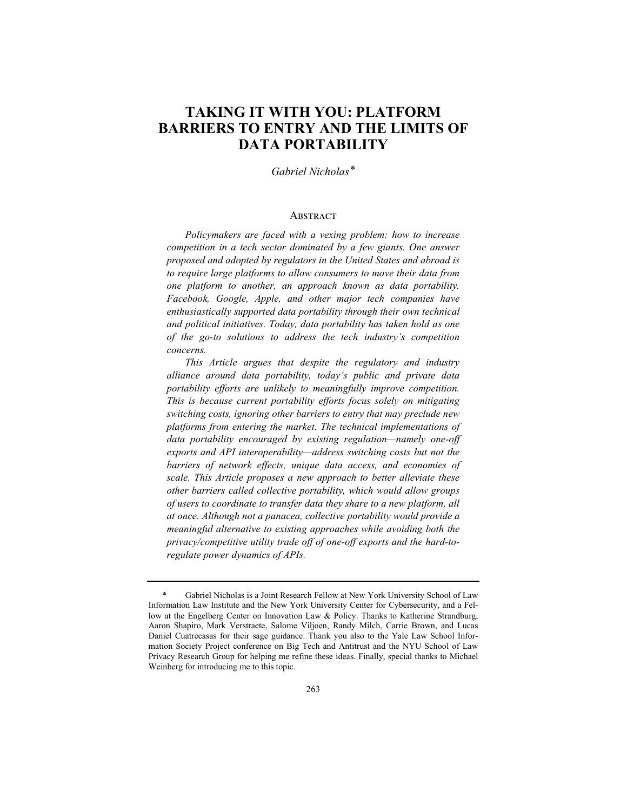# **TAKING IT WITH YOU: PLATFORM BARRIERS TO ENTRY AND THE LIMITS OF DATA PORTABILITY**

*Gabriel Nicholas\**

### **ABSTRACT**

*Policymakers are faced with a vexing problem: how to increase competition in a tech sector dominated by a few giants. One answer proposed and adopted by regulators in the United States and abroad is to require large platforms to allow consumers to move their data from one platform to another, an approach known as data portability. Facebook, Google, Apple, and other major tech companies have enthusiastically supported data portability through their own technical and political initiatives. Today, data portability has taken hold as one of the go-to solutions to address the tech industry's competition concerns.*

*This Article argues that despite the regulatory and industry alliance around data portability, today's public and private data portability efforts are unlikely to meaningfully improve competition. This is because current portability efforts focus solely on mitigating switching costs, ignoring other barriers to entry that may preclude new platforms from entering the market. The technical implementations of data portability encouraged by existing regulation—namely one-off exports and API interoperability—address switching costs but not the barriers of network effects, unique data access, and economies of scale. This Article proposes a new approach to better alleviate these other barriers called collective portability, which would allow groups of users to coordinate to transfer data they share to a new platform, all at once. Although not a panacea, collective portability would provide a meaningful alternative to existing approaches while avoiding both the privacy/competitive utility trade off of one-off exports and the hard-toregulate power dynamics of APIs.*

<sup>\*</sup> Gabriel Nicholas is a Joint Research Fellow at New York University School of Law Information Law Institute and the New York University Center for Cybersecurity, and a Fellow at the Engelberg Center on Innovation Law & Policy. Thanks to Katherine Strandburg, Aaron Shapiro, Mark Verstraete, Salome Viljoen, Randy Milch, Carrie Brown, and Lucas Daniel Cuatrecasas for their sage guidance. Thank you also to the Yale Law School Information Society Project conference on Big Tech and Antitrust and the NYU School of Law Privacy Research Group for helping me refine these ideas. Finally, special thanks to Michael Weinberg for introducing me to this topic.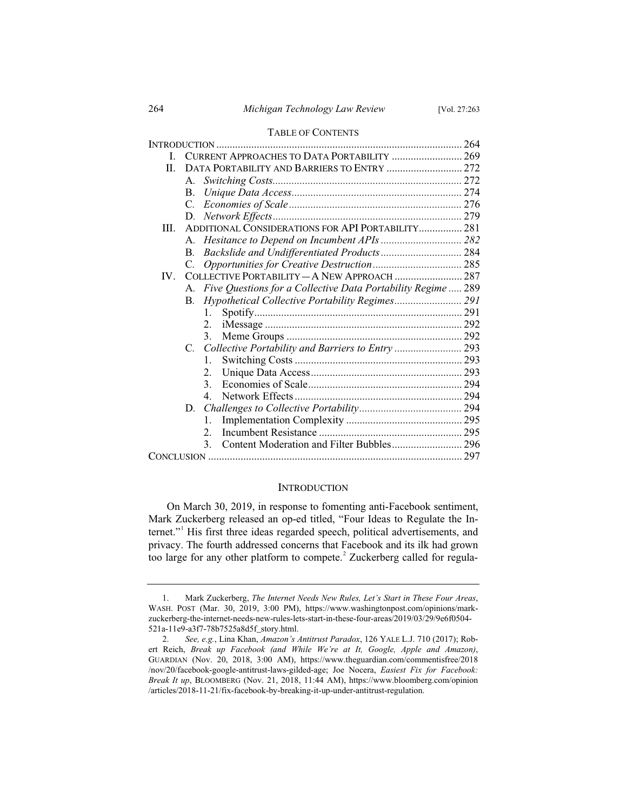# 264 *Michigan Technology Law Review* [Vol. 27:263

|                   |                                                   | <b>TABLE OF CONTENTS</b>                                     |  |
|-------------------|---------------------------------------------------|--------------------------------------------------------------|--|
|                   |                                                   |                                                              |  |
| L.                |                                                   | CURRENT APPROACHES TO DATA PORTABILITY  269                  |  |
| II.               | DATA PORTABILITY AND BARRIERS TO ENTRY  272       |                                                              |  |
|                   | Α.                                                |                                                              |  |
|                   | B.                                                |                                                              |  |
|                   | C.                                                |                                                              |  |
|                   | D.                                                |                                                              |  |
| III.              | ADDITIONAL CONSIDERATIONS FOR API PORTABILITY 281 |                                                              |  |
|                   | $\mathsf{A}$ .                                    |                                                              |  |
|                   | В.                                                |                                                              |  |
|                   | C.                                                |                                                              |  |
| $\mathbf{IV}_{-}$ | COLLECTIVE PORTABILITY - A NEW APPROACH  287      |                                                              |  |
|                   | А.                                                | Five Questions for a Collective Data Portability Regime  289 |  |
|                   | В.                                                | Hypothetical Collective Portability Regimes 291              |  |
|                   |                                                   | 1.                                                           |  |
|                   |                                                   | 2.                                                           |  |
|                   |                                                   | 3 <sub>1</sub>                                               |  |
|                   | $C_{\cdot}$                                       |                                                              |  |
|                   |                                                   | 1.                                                           |  |
|                   |                                                   | 2.                                                           |  |
|                   |                                                   | 3 <sub>1</sub>                                               |  |
|                   |                                                   | 4 <sub>1</sub>                                               |  |
|                   | D.                                                |                                                              |  |
|                   |                                                   | 1.                                                           |  |
|                   |                                                   | 2.                                                           |  |
|                   |                                                   | $\mathbf{3}$ .                                               |  |
|                   |                                                   |                                                              |  |
|                   |                                                   |                                                              |  |

# **INTRODUCTION**

On March 30, 2019, in response to fomenting anti-Facebook sentiment, Mark Zuckerberg released an op-ed titled, "Four Ideas to Regulate the Internet."<sup>1</sup> His first three ideas regarded speech, political advertisements, and privacy. The fourth addressed concerns that Facebook and its ilk had grown too large for any other platform to compete.<sup>2</sup> Zuckerberg called for regula-

<sup>1.</sup> Mark Zuckerberg, *The Internet Needs New Rules, Let's Start in These Four Areas*, WASH. POST (Mar. 30, 2019, 3:00 PM), https://www.washingtonpost.com/opinions/markzuckerberg-the-internet-needs-new-rules-lets-start-in-these-four-areas/2019/03/29/9e6f0504- 521a-11e9-a3f7-78b7525a8d5f\_story.html.

<sup>2.</sup> *See, e.g.*, Lina Khan, *Amazon's Antitrust Paradox*, 126 YALE L.J. 710 (2017); Robert Reich, *Break up Facebook (and While We're at It, Google, Apple and Amazon)*, GUARDIAN (Nov. 20, 2018, 3:00 AM), https://www.theguardian.com/commentisfree/2018 /nov/20/facebook-google-antitrust-laws-gilded-age; Joe Nocera, *Easiest Fix for Facebook: Break It up*, BLOOMBERG (Nov. 21, 2018, 11:44 AM), https://www.bloomberg.com/opinion /articles/2018-11-21/fix-facebook-by-breaking-it-up-under-antitrust-regulation.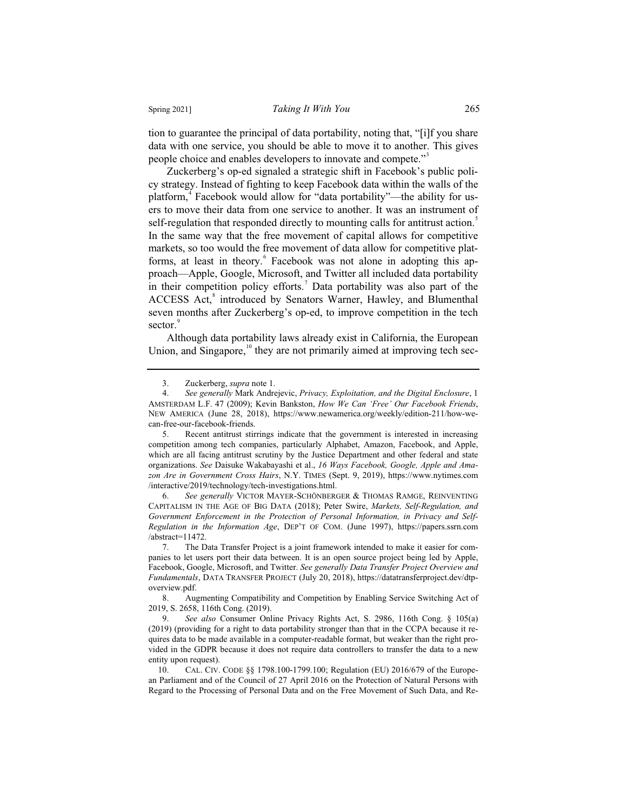tion to guarantee the principal of data portability, noting that, "[i]f you share data with one service, you should be able to move it to another. This gives people choice and enables developers to innovate and compete."<sup>3</sup>

Zuckerberg's op-ed signaled a strategic shift in Facebook's public policy strategy. Instead of fighting to keep Facebook data within the walls of the platform,<sup>4</sup> Facebook would allow for "data portability"—the ability for users to move their data from one service to another. It was an instrument of self-regulation that responded directly to mounting calls for antitrust action.<sup>5</sup> In the same way that the free movement of capital allows for competitive markets, so too would the free movement of data allow for competitive platforms, at least in theory.<sup>6</sup> Facebook was not alone in adopting this approach—Apple, Google, Microsoft, and Twitter all included data portability in their competition policy efforts.<sup>7</sup> Data portability was also part of the ACCESS Act,<sup>8</sup> introduced by Senators Warner, Hawley, and Blumenthal seven months after Zuckerberg's op-ed, to improve competition in the tech sector.<sup>9</sup>

Although data portability laws already exist in California, the European Union, and Singapore, $10$ <sup>they</sup> are not primarily aimed at improving tech sec-

<sup>3.</sup> Zuckerberg, *supra* note 1.

<sup>4.</sup> *See generally* Mark Andrejevic, *Privacy, Exploitation, and the Digital Enclosure*, 1 AMSTERDAM L.F. 47 (2009); Kevin Bankston, *How We Can 'Free' Our Facebook Friends*, NEW AMERICA (June 28, 2018), https://www.newamerica.org/weekly/edition-211/how-wecan-free-our-facebook-friends.

<sup>5.</sup> Recent antitrust stirrings indicate that the government is interested in increasing competition among tech companies, particularly Alphabet, Amazon, Facebook, and Apple, which are all facing antitrust scrutiny by the Justice Department and other federal and state organizations. *See* Daisuke Wakabayashi et al., *16 Ways Facebook, Google, Apple and Amazon Are in Government Cross Hairs*, N.Y. TIMES (Sept. 9, 2019), https://www.nytimes.com /interactive/2019/technology/tech-investigations.html.

<sup>6.</sup> *See generally* VICTOR MAYER-SCHÖNBERGER & THOMAS RAMGE, REINVENTING CAPITALISM IN THE AGE OF BIG DATA (2018); Peter Swire, *Markets, Self-Regulation, and Government Enforcement in the Protection of Personal Information, in Privacy and Self-Regulation in the Information Age*, DEP'T OF COM. (June 1997), https://papers.ssrn.com /abstract=11472.

<sup>7.</sup> The Data Transfer Project is a joint framework intended to make it easier for companies to let users port their data between. It is an open source project being led by Apple, Facebook, Google, Microsoft, and Twitter. *See generally Data Transfer Project Overview and Fundamentals*, DATA TRANSFER PROJECT (July 20, 2018), https://datatransferproject.dev/dtpoverview.pdf.

<sup>8.</sup> Augmenting Compatibility and Competition by Enabling Service Switching Act of 2019, S. 2658, 116th Cong. (2019).

<sup>9.</sup> *See also* Consumer Online Privacy Rights Act, S. 2986, 116th Cong. § 105(a) (2019) (providing for a right to data portability stronger than that in the CCPA because it requires data to be made available in a computer-readable format, but weaker than the right provided in the GDPR because it does not require data controllers to transfer the data to a new entity upon request).

<sup>10.</sup> CAL. CIV. CODE §§ 1798.100-1799.100; Regulation (EU) 2016/679 of the European Parliament and of the Council of 27 April 2016 on the Protection of Natural Persons with Regard to the Processing of Personal Data and on the Free Movement of Such Data, and Re-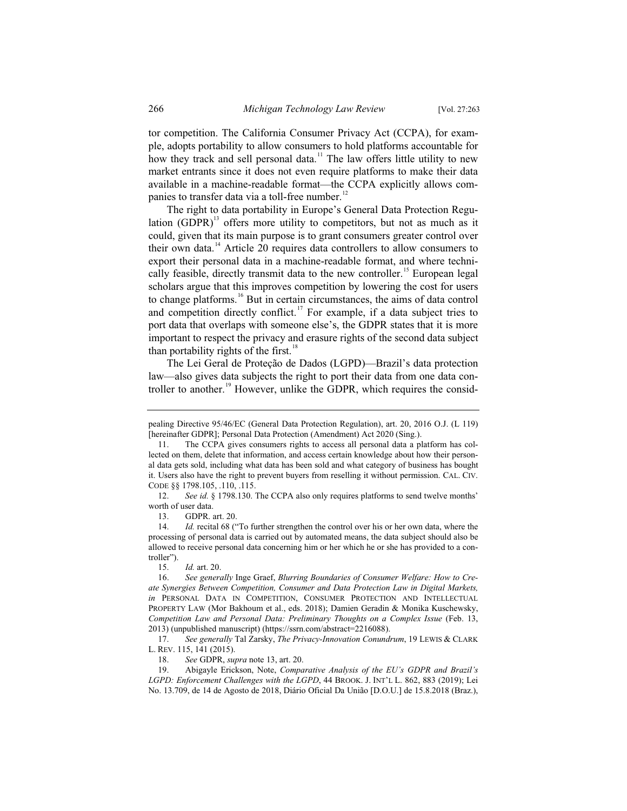tor competition. The California Consumer Privacy Act (CCPA), for example, adopts portability to allow consumers to hold platforms accountable for how they track and sell personal data.<sup>11</sup> The law offers little utility to new market entrants since it does not even require platforms to make their data available in a machine-readable format—the CCPA explicitly allows companies to transfer data via a toll-free number.<sup>12</sup>

The right to data portability in Europe's General Data Protection Regulation  $(GDPR)^{13}$  offers more utility to competitors, but not as much as it could, given that its main purpose is to grant consumers greater control over their own data.<sup>14</sup> Article 20 requires data controllers to allow consumers to export their personal data in a machine-readable format, and where technically feasible, directly transmit data to the new controller.<sup>15</sup> European legal scholars argue that this improves competition by lowering the cost for users to change platforms.<sup>16</sup> But in certain circumstances, the aims of data control and competition directly conflict.<sup>17</sup> For example, if a data subject tries to port data that overlaps with someone else's, the GDPR states that it is more important to respect the privacy and erasure rights of the second data subject than portability rights of the first.<sup>18</sup>

The Lei Geral de Proteção de Dados (LGPD)—Brazil's data protection law—also gives data subjects the right to port their data from one data controller to another.<sup>19</sup> However, unlike the GDPR, which requires the consid-

12. *See id.* § 1798.130. The CCPA also only requires platforms to send twelve months' worth of user data.

13. GDPR. art. 20.

17. *See generally* Tal Zarsky, *The Privacy-Innovation Conundrum*, 19 LEWIS & CLARK L. REV. 115, 141 (2015).

18. *See* GDPR, *supra* note 13, art. 20.

19. Abigayle Erickson, Note, *Comparative Analysis of the EU's GDPR and Brazil's LGPD: Enforcement Challenges with the LGPD*, 44 BROOK. J. INT'L L. 862, 883 (2019); Lei No. 13.709, de 14 de Agosto de 2018, Diário Oficial Da União [D.O.U.] de 15.8.2018 (Braz.),

pealing Directive 95/46/EC (General Data Protection Regulation), art. 20, 2016 O.J. (L 119) [hereinafter GDPR]; Personal Data Protection (Amendment) Act 2020 (Sing.).

<sup>11.</sup> The CCPA gives consumers rights to access all personal data a platform has collected on them, delete that information, and access certain knowledge about how their personal data gets sold, including what data has been sold and what category of business has bought it. Users also have the right to prevent buyers from reselling it without permission. CAL. CIV. CODE §§ 1798.105, .110, .115.

<sup>14.</sup> *Id.* recital 68 ("To further strengthen the control over his or her own data, where the processing of personal data is carried out by automated means, the data subject should also be allowed to receive personal data concerning him or her which he or she has provided to a controller").<br> $15.$ 

*Id.* art. 20.

<sup>16.</sup> *See generally* Inge Graef, *Blurring Boundaries of Consumer Welfare: How to Create Synergies Between Competition, Consumer and Data Protection Law in Digital Markets, in* PERSONAL DATA IN COMPETITION, CONSUMER PROTECTION AND INTELLECTUAL PROPERTY LAW (Mor Bakhoum et al., eds. 2018); Damien Geradin & Monika Kuschewsky, *Competition Law and Personal Data: Preliminary Thoughts on a Complex Issue* (Feb. 13, 2013) (unpublished manuscript) (https://ssrn.com/abstract=2216088).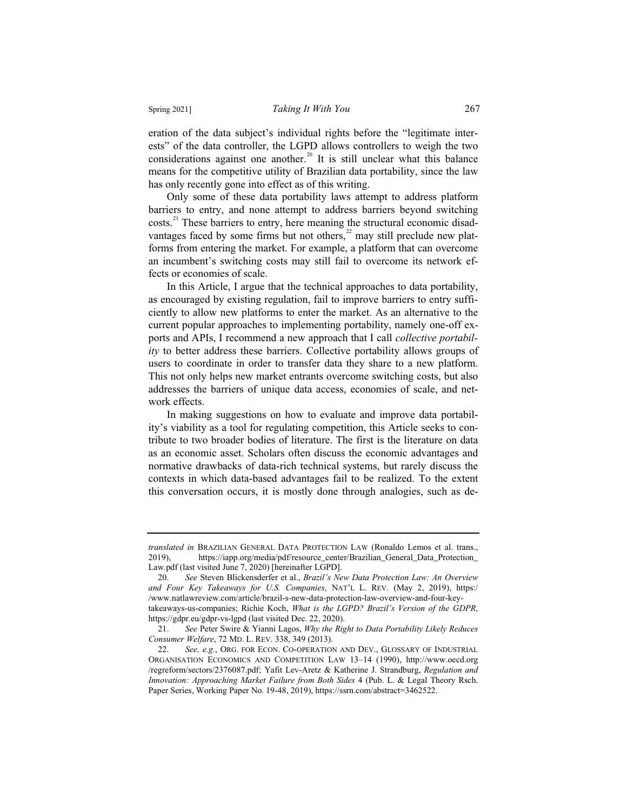eration of the data subject's individual rights before the "legitimate interests" of the data controller, the LGPD allows controllers to weigh the two considerations against one another.<sup>20</sup> It is still unclear what this balance means for the competitive utility of Brazilian data portability, since the law has only recently gone into effect as of this writing.

Only some of these data portability laws attempt to address platform barriers to entry, and none attempt to address barriers beyond switching costs.<sup>21</sup> These barriers to entry, here meaning the structural economic disadvantages faced by some firms but not others, $^{22}$  may still preclude new platforms from entering the market. For example, a platform that can overcome an incumbent's switching costs may still fail to overcome its network effects or economies of scale.

In this Article, I argue that the technical approaches to data portability, as encouraged by existing regulation, fail to improve barriers to entry sufficiently to allow new platforms to enter the market. As an alternative to the current popular approaches to implementing portability, namely one-off exports and APIs, I recommend a new approach that I call *collective portability* to better address these barriers. Collective portability allows groups of users to coordinate in order to transfer data they share to a new platform. This not only helps new market entrants overcome switching costs, but also addresses the barriers of unique data access, economies of scale, and network effects.

In making suggestions on how to evaluate and improve data portability's viability as a tool for regulating competition, this Article seeks to contribute to two broader bodies of literature. The first is the literature on data as an economic asset. Scholars often discuss the economic advantages and normative drawbacks of data-rich technical systems, but rarely discuss the contexts in which data-based advantages fail to be realized. To the extent this conversation occurs, it is mostly done through analogies, such as de-

*translated in* BRAZILIAN GENERAL DATA PROTECTION LAW (Ronaldo Lemos et al. trans., 2019), https://iapp.org/media/pdf/resource center/Brazilian General Data Protection https://iapp.org/media/pdf/resource\_center/Brazilian\_General\_Data\_Protection Law.pdf (last visited June 7, 2020) [hereinafter LGPD].

<sup>20.</sup> *See* Steven Blickensderfer et al., *Brazil's New Data Protection Law: An Overview and Four Key Takeaways for U.S. Companies*, NAT'L L. REV. (May 2, 2019), https:/ /www.natlawreview.com/article/brazil-s-new-data-protection-law-overview-and-four-keytakeaways-us-companies; Richie Koch, *What is the LGPD? Brazil's Version of the GDPR*, https://gdpr.eu/gdpr-vs-lgpd (last visited Dec. 22, 2020).

<sup>21.</sup> *See* Peter Swire & Yianni Lagos, *Why the Right to Data Portability Likely Reduces Consumer Welfare*, 72 MD. L. REV. 338, 349 (2013).

<sup>22.</sup> *See, e.g.*, ORG. FOR ECON. CO-OPERATION AND DEV., GLOSSARY OF INDUSTRIAL ORGANISATION ECONOMICS AND COMPETITION LAW 13–14 (1990), http://www.oecd.org /regreform/sectors/2376087.pdf; Yafit Lev-Aretz & Katherine J. Strandburg, *Regulation and Innovation: Approaching Market Failure from Both Sides* 4 (Pub. L. & Legal Theory Rsch. Paper Series, Working Paper No. 19-48, 2019), https://ssrn.com/abstract=3462522.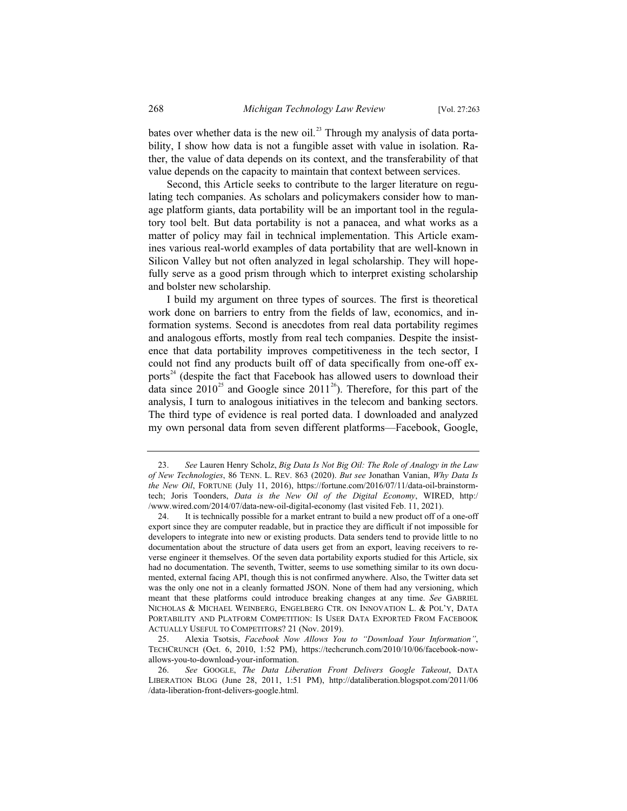bates over whether data is the new oil.<sup>23</sup> Through my analysis of data portability, I show how data is not a fungible asset with value in isolation. Rather, the value of data depends on its context, and the transferability of that value depends on the capacity to maintain that context between services.

Second, this Article seeks to contribute to the larger literature on regulating tech companies. As scholars and policymakers consider how to manage platform giants, data portability will be an important tool in the regulatory tool belt. But data portability is not a panacea, and what works as a matter of policy may fail in technical implementation. This Article examines various real-world examples of data portability that are well-known in Silicon Valley but not often analyzed in legal scholarship. They will hopefully serve as a good prism through which to interpret existing scholarship and bolster new scholarship.

I build my argument on three types of sources. The first is theoretical work done on barriers to entry from the fields of law, economics, and information systems. Second is anecdotes from real data portability regimes and analogous efforts, mostly from real tech companies. Despite the insistence that data portability improves competitiveness in the tech sector, I could not find any products built off of data specifically from one-off exports<sup>24</sup> (despite the fact that Facebook has allowed users to download their data since  $2010^{25}$  and Google since  $2011^{26}$ ). Therefore, for this part of the analysis, I turn to analogous initiatives in the telecom and banking sectors. The third type of evidence is real ported data. I downloaded and analyzed my own personal data from seven different platforms—Facebook, Google,

<sup>23.</sup> *See* Lauren Henry Scholz, *Big Data Is Not Big Oil: The Role of Analogy in the Law of New Technologies*, 86 TENN. L. REV. 863 (2020). *But see* Jonathan Vanian, *Why Data Is the New Oil*, FORTUNE (July 11, 2016), https://fortune.com/2016/07/11/data-oil-brainstormtech; Joris Toonders, *Data is the New Oil of the Digital Economy*, WIRED, http:/ /www.wired.com/2014/07/data-new-oil-digital-economy (last visited Feb. 11, 2021).

<sup>24.</sup> It is technically possible for a market entrant to build a new product off of a one-off export since they are computer readable, but in practice they are difficult if not impossible for developers to integrate into new or existing products. Data senders tend to provide little to no documentation about the structure of data users get from an export, leaving receivers to reverse engineer it themselves. Of the seven data portability exports studied for this Article, six had no documentation. The seventh, Twitter, seems to use something similar to its own documented, external facing API, though this is not confirmed anywhere. Also, the Twitter data set was the only one not in a cleanly formatted JSON. None of them had any versioning, which meant that these platforms could introduce breaking changes at any time. *See* GABRIEL NICHOLAS & MICHAEL WEINBERG, ENGELBERG CTR. ON INNOVATION L. & POL'Y, DATA PORTABILITY AND PLATFORM COMPETITION: IS USER DATA EXPORTED FROM FACEBOOK ACTUALLY USEFUL TO COMPETITORS? 21 (Nov. 2019).

<sup>25.</sup> Alexia Tsotsis, *Facebook Now Allows You to "Download Your Information"*, TECHCRUNCH (Oct. 6, 2010, 1:52 PM), https://techcrunch.com/2010/10/06/facebook-nowallows-you-to-download-your-information.

<sup>26.</sup> *See* GOOGLE, *The Data Liberation Front Delivers Google Takeout*, DATA LIBERATION BLOG (June 28, 2011, 1:51 PM), http://dataliberation.blogspot.com/2011/06 /data-liberation-front-delivers-google.html.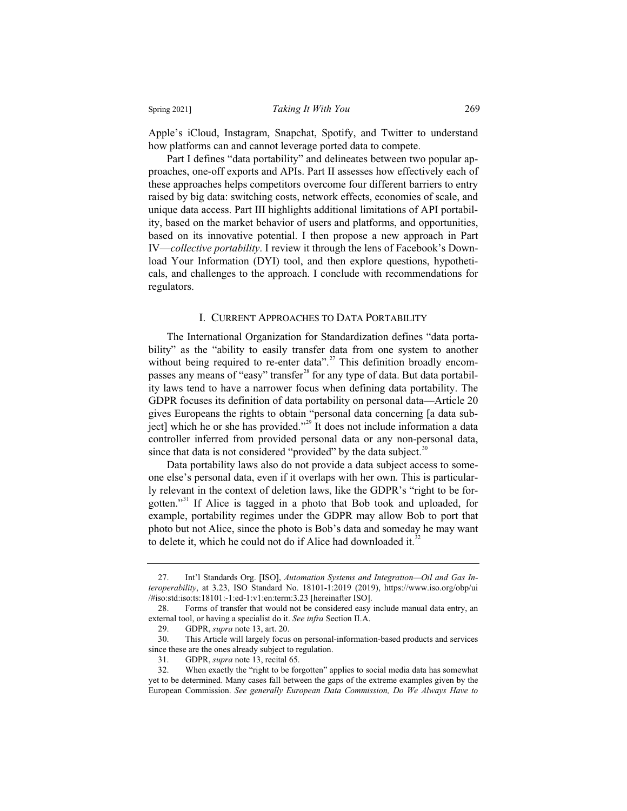Apple's iCloud, Instagram, Snapchat, Spotify, and Twitter to understand how platforms can and cannot leverage ported data to compete.

Part I defines "data portability" and delineates between two popular approaches, one-off exports and APIs. Part II assesses how effectively each of these approaches helps competitors overcome four different barriers to entry raised by big data: switching costs, network effects, economies of scale, and unique data access. Part III highlights additional limitations of API portability, based on the market behavior of users and platforms, and opportunities, based on its innovative potential. I then propose a new approach in Part IV—*collective portability*. I review it through the lens of Facebook's Download Your Information (DYI) tool, and then explore questions, hypotheticals, and challenges to the approach. I conclude with recommendations for regulators.

### I. CURRENT APPROACHES TO DATA PORTABILITY

The International Organization for Standardization defines "data portability" as the "ability to easily transfer data from one system to another without being required to re-enter data".<sup>27</sup> This definition broadly encompasses any means of "easy" transfer<sup>28</sup> for any type of data. But data portability laws tend to have a narrower focus when defining data portability. The GDPR focuses its definition of data portability on personal data—Article 20 gives Europeans the rights to obtain "personal data concerning [a data subject] which he or she has provided."<sup>29</sup> It does not include information a data controller inferred from provided personal data or any non-personal data, since that data is not considered "provided" by the data subject. $30$ 

Data portability laws also do not provide a data subject access to someone else's personal data, even if it overlaps with her own. This is particularly relevant in the context of deletion laws, like the GDPR's "right to be forgotten."<sup>31</sup> If Alice is tagged in a photo that Bob took and uploaded, for example, portability regimes under the GDPR may allow Bob to port that photo but not Alice, since the photo is Bob's data and someday he may want to delete it, which he could not do if Alice had downloaded it. $32$ 

<sup>27.</sup> Int'l Standards Org. [ISO], *Automation Systems and Integration—Oil and Gas Interoperability*, at 3.23, ISO Standard No. 18101-1:2019 (2019), https://www.iso.org/obp/ui /#iso:std:iso:ts:18101:-1:ed-1:v1:en:term:3.23 [hereinafter ISO].

<sup>28.</sup> Forms of transfer that would not be considered easy include manual data entry, an external tool, or having a specialist do it. *See infra* Section II.A.

<sup>29.</sup> GDPR, *supra* note 13, art. 20.

<sup>30.</sup> This Article will largely focus on personal-information-based products and services since these are the ones already subject to regulation.

<sup>31.</sup> GDPR, *supra* note 13, recital 65.

<sup>32.</sup> When exactly the "right to be forgotten" applies to social media data has somewhat yet to be determined. Many cases fall between the gaps of the extreme examples given by the European Commission. *See generally European Data Commission, Do We Always Have to*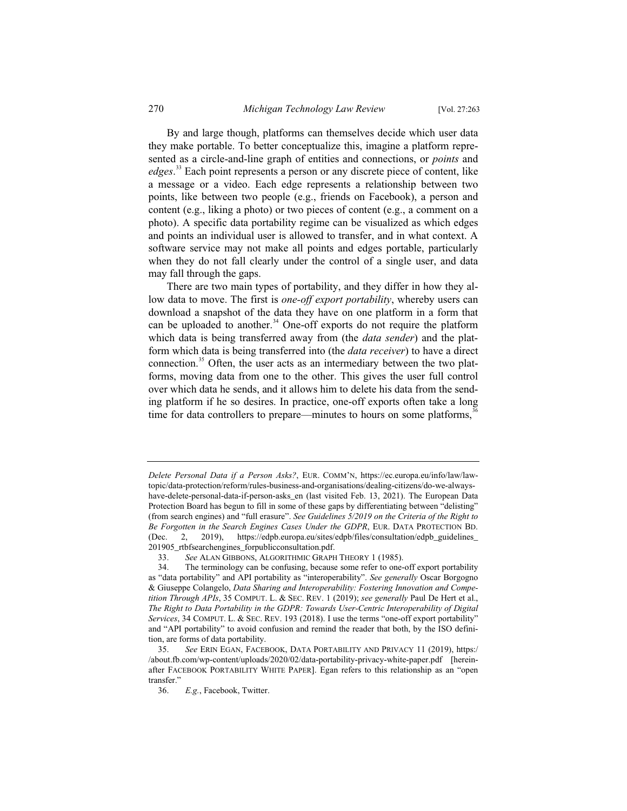By and large though, platforms can themselves decide which user data they make portable. To better conceptualize this, imagine a platform represented as a circle-and-line graph of entities and connections, or *points* and *edges*. <sup>33</sup> Each point represents a person or any discrete piece of content, like a message or a video. Each edge represents a relationship between two points, like between two people (e.g., friends on Facebook), a person and content (e.g., liking a photo) or two pieces of content (e.g., a comment on a photo). A specific data portability regime can be visualized as which edges and points an individual user is allowed to transfer, and in what context. A software service may not make all points and edges portable, particularly when they do not fall clearly under the control of a single user, and data may fall through the gaps.

There are two main types of portability, and they differ in how they allow data to move. The first is *one-off export portability*, whereby users can download a snapshot of the data they have on one platform in a form that can be uploaded to another.<sup>34</sup> One-off exports do not require the platform which data is being transferred away from (the *data sender*) and the platform which data is being transferred into (the *data receiver*) to have a direct connection.<sup>35</sup> Often, the user acts as an intermediary between the two platforms, moving data from one to the other. This gives the user full control over which data he sends, and it allows him to delete his data from the sending platform if he so desires. In practice, one-off exports often take a long time for data controllers to prepare—minutes to hours on some platforms,<sup>3</sup>

*Delete Personal Data if a Person Asks?*, EUR. COMM'N, https://ec.europa.eu/info/law/lawtopic/data-protection/reform/rules-business-and-organisations/dealing-citizens/do-we-alwayshave-delete-personal-data-if-person-asks\_en (last visited Feb. 13, 2021). The European Data Protection Board has begun to fill in some of these gaps by differentiating between "delisting" (from search engines) and "full erasure". *See Guidelines 5/2019 on the Criteria of the Right to Be Forgotten in the Search Engines Cases Under the GDPR*, EUR. DATA PROTECTION BD. (Dec. 2, 2019), https://edpb.europa.eu/sites/edpb/files/consultation/edpb\_guidelines\_ 201905\_rtbfsearchengines\_forpublicconsultation.pdf.<br>33. See ALAN GIBBONS, ALGORITHMIC GRAPE

See ALAN GIBBONS, ALGORITHMIC GRAPH THEORY 1 (1985).

<sup>34.</sup> The terminology can be confusing, because some refer to one-off export portability as "data portability" and API portability as "interoperability". *See generally* Oscar Borgogno & Giuseppe Colangelo, *Data Sharing and Interoperability: Fostering Innovation and Competition Through APIs*, 35 COMPUT. L. & SEC. REV. 1 (2019); *see generally* Paul De Hert et al., *The Right to Data Portability in the GDPR: Towards User-Centric Interoperability of Digital Services*, 34 COMPUT. L. & SEC. REV. 193 (2018). I use the terms "one-off export portability" and "API portability" to avoid confusion and remind the reader that both, by the ISO definition, are forms of data portability.

<sup>35.</sup> *See* ERIN EGAN, FACEBOOK, DATA PORTABILITY AND PRIVACY 11 (2019), https:/ /about.fb.com/wp-content/uploads/2020/02/data-portability-privacy-white-paper.pdf [hereinafter FACEBOOK PORTABILITY WHITE PAPER]. Egan refers to this relationship as an "open transfer."

<sup>36.</sup> *E.g.*, Facebook, Twitter.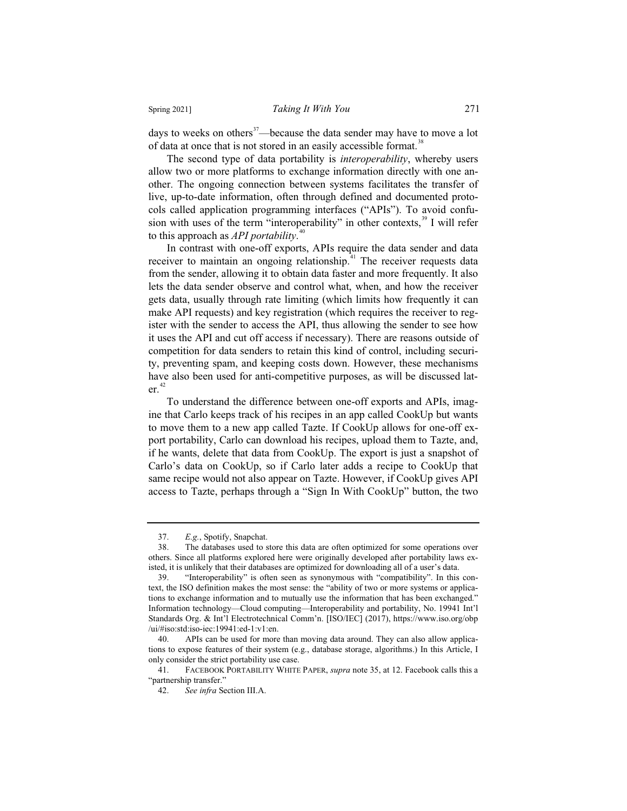days to weeks on others<sup>37</sup>—because the data sender may have to move a lot of data at once that is not stored in an easily accessible format.<sup>38</sup>

The second type of data portability is *interoperability*, whereby users allow two or more platforms to exchange information directly with one another. The ongoing connection between systems facilitates the transfer of live, up-to-date information, often through defined and documented protocols called application programming interfaces ("APIs"). To avoid confusion with uses of the term "interoperability" in other contexts, $39$  I will refer to this approach as *API portability*. 40

In contrast with one-off exports, APIs require the data sender and data receiver to maintain an ongoing relationship.<sup>41</sup> The receiver requests data from the sender, allowing it to obtain data faster and more frequently. It also lets the data sender observe and control what, when, and how the receiver gets data, usually through rate limiting (which limits how frequently it can make API requests) and key registration (which requires the receiver to register with the sender to access the API, thus allowing the sender to see how it uses the API and cut off access if necessary). There are reasons outside of competition for data senders to retain this kind of control, including security, preventing spam, and keeping costs down. However, these mechanisms have also been used for anti-competitive purposes, as will be discussed lat $er.$ <sup>42</sup>

To understand the difference between one-off exports and APIs, imagine that Carlo keeps track of his recipes in an app called CookUp but wants to move them to a new app called Tazte. If CookUp allows for one-off export portability, Carlo can download his recipes, upload them to Tazte, and, if he wants, delete that data from CookUp. The export is just a snapshot of Carlo's data on CookUp, so if Carlo later adds a recipe to CookUp that same recipe would not also appear on Tazte. However, if CookUp gives API access to Tazte, perhaps through a "Sign In With CookUp" button, the two

<sup>37.</sup> *E.g.*, Spotify, Snapchat.

<sup>38.</sup> The databases used to store this data are often optimized for some operations over others. Since all platforms explored here were originally developed after portability laws existed, it is unlikely that their databases are optimized for downloading all of a user's data.

<sup>39. &</sup>quot;Interoperability" is often seen as synonymous with "compatibility". In this context, the ISO definition makes the most sense: the "ability of two or more systems or applications to exchange information and to mutually use the information that has been exchanged." Information technology—Cloud computing—Interoperability and portability, No. 19941 Int'l Standards Org. & Int'l Electrotechnical Comm'n. [ISO/IEC] (2017), https://www.iso.org/obp /ui/#iso:std:iso-iec:19941:ed-1:v1:en.

<sup>40.</sup> APIs can be used for more than moving data around. They can also allow applications to expose features of their system (e.g., database storage, algorithms.) In this Article, I only consider the strict portability use case.

<sup>41.</sup> FACEBOOK PORTABILITY WHITE PAPER, *supra* note 35, at 12. Facebook calls this a "partnership transfer."

<sup>42.</sup> *See infra* Section III.A.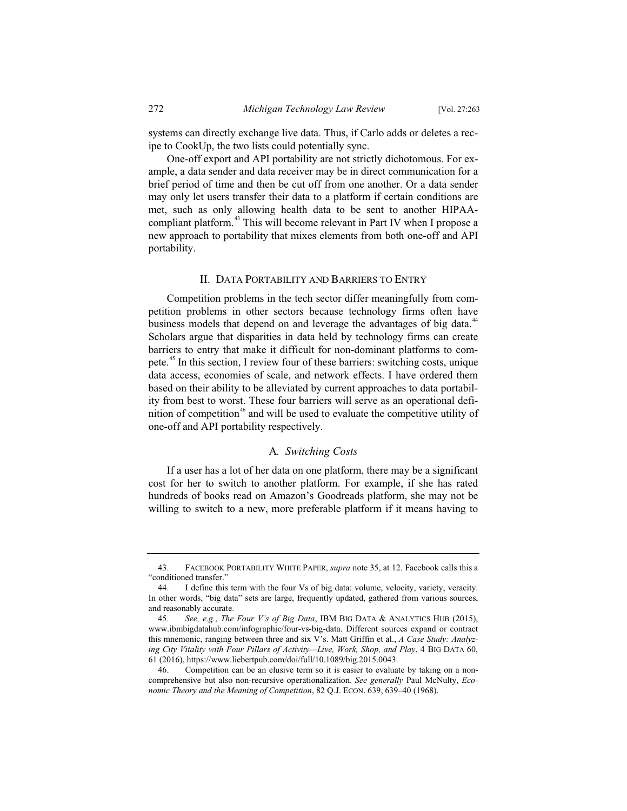systems can directly exchange live data. Thus, if Carlo adds or deletes a recipe to CookUp, the two lists could potentially sync.

One-off export and API portability are not strictly dichotomous. For example, a data sender and data receiver may be in direct communication for a brief period of time and then be cut off from one another. Or a data sender may only let users transfer their data to a platform if certain conditions are met, such as only allowing health data to be sent to another HIPAAcompliant platform.<sup>43</sup> This will become relevant in Part IV when I propose a new approach to portability that mixes elements from both one-off and API portability.

### II. DATA PORTABILITY AND BARRIERS TO ENTRY

Competition problems in the tech sector differ meaningfully from competition problems in other sectors because technology firms often have business models that depend on and leverage the advantages of big data.<sup>4</sup> Scholars argue that disparities in data held by technology firms can create barriers to entry that make it difficult for non-dominant platforms to compete.<sup>45</sup> In this section, I review four of these barriers: switching costs, unique data access, economies of scale, and network effects. I have ordered them based on their ability to be alleviated by current approaches to data portability from best to worst. These four barriers will serve as an operational definition of competition<sup>46</sup> and will be used to evaluate the competitive utility of one-off and API portability respectively.

# A*. Switching Costs*

If a user has a lot of her data on one platform, there may be a significant cost for her to switch to another platform. For example, if she has rated hundreds of books read on Amazon's Goodreads platform, she may not be willing to switch to a new, more preferable platform if it means having to

<sup>43.</sup> FACEBOOK PORTABILITY WHITE PAPER, *supra* note 35, at 12. Facebook calls this a "conditioned transfer."

<sup>44.</sup> I define this term with the four Vs of big data: volume, velocity, variety, veracity. In other words, "big data" sets are large, frequently updated, gathered from various sources, and reasonably accurate.

<sup>45.</sup> *See, e.g.*, *The Four V's of Big Data*, IBM BIG DATA & ANALYTICS HUB (2015), www.ibmbigdatahub.com/infographic/four-vs-big-data. Different sources expand or contract this mnemonic, ranging between three and six V's. Matt Griffin et al., *A Case Study: Analyzing City Vitality with Four Pillars of Activity—Live, Work, Shop, and Play*, 4 BIG DATA 60, 61 (2016), https://www.liebertpub.com/doi/full/10.1089/big.2015.0043.

<sup>46.</sup> Competition can be an elusive term so it is easier to evaluate by taking on a noncomprehensive but also non-recursive operationalization. *See generally* Paul McNulty, *Economic Theory and the Meaning of Competition*, 82 Q.J. ECON. 639, 639–40 (1968).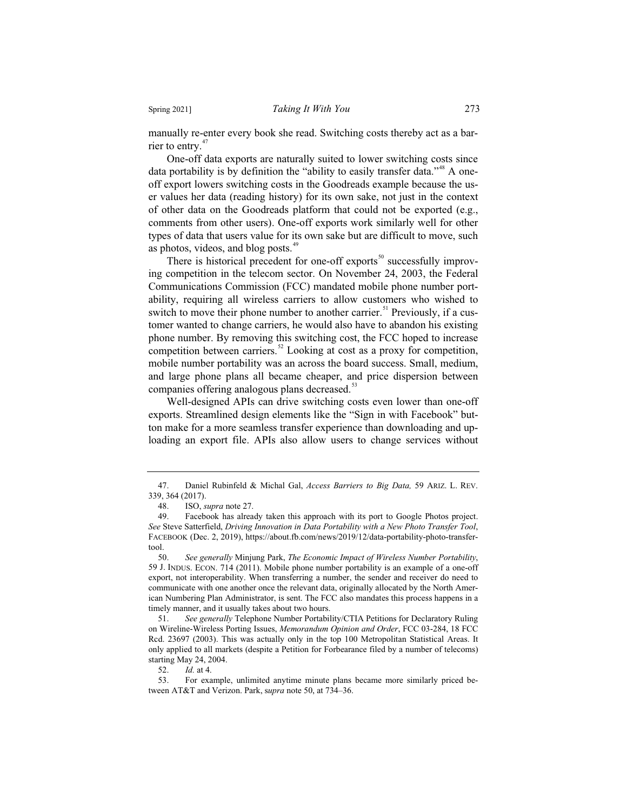manually re-enter every book she read. Switching costs thereby act as a barrier to entry. $47$ 

One-off data exports are naturally suited to lower switching costs since data portability is by definition the "ability to easily transfer data."<sup>48</sup> A oneoff export lowers switching costs in the Goodreads example because the user values her data (reading history) for its own sake, not just in the context of other data on the Goodreads platform that could not be exported (e.g., comments from other users). One-off exports work similarly well for other types of data that users value for its own sake but are difficult to move, such as photos, videos, and blog posts. $4^{\circ}$ 

There is historical precedent for one-off exports<sup>50</sup> successfully improving competition in the telecom sector. On November 24, 2003, the Federal Communications Commission (FCC) mandated mobile phone number portability, requiring all wireless carriers to allow customers who wished to switch to move their phone number to another carrier.<sup>51</sup> Previously, if a customer wanted to change carriers, he would also have to abandon his existing phone number. By removing this switching cost, the FCC hoped to increase competition between carriers.<sup>52</sup> Looking at cost as a proxy for competition, mobile number portability was an across the board success. Small, medium, and large phone plans all became cheaper, and price dispersion between companies offering analogous plans decreased.<sup>53</sup>

Well-designed APIs can drive switching costs even lower than one-off exports. Streamlined design elements like the "Sign in with Facebook" button make for a more seamless transfer experience than downloading and uploading an export file. APIs also allow users to change services without

52. *Id.* at 4.

<sup>47.</sup> Daniel Rubinfeld & Michal Gal, *Access Barriers to Big Data,* 59 ARIZ. L. REV. 339, 364 (2017).<br>48. ISO, s

<sup>48.</sup> ISO, *supra* note 27.

<sup>49.</sup> Facebook has already taken this approach with its port to Google Photos project. *See* Steve Satterfield, *Driving Innovation in Data Portability with a New Photo Transfer Tool*, FACEBOOK (Dec. 2, 2019), https://about.fb.com/news/2019/12/data-portability-photo-transfer- $\frac{1}{60}$ 

<sup>50.</sup> *See generally* Minjung Park, *The Economic Impact of Wireless Number Portability*, 59 J. INDUS. ECON. 714 (2011). Mobile phone number portability is an example of a one-off export, not interoperability. When transferring a number, the sender and receiver do need to communicate with one another once the relevant data, originally allocated by the North American Numbering Plan Administrator, is sent. The FCC also mandates this process happens in a timely manner, and it usually takes about two hours.

<sup>51.</sup> *See generally* Telephone Number Portability/CTIA Petitions for Declaratory Ruling on Wireline-Wireless Porting Issues, *Memorandum Opinion and Order*, FCC 03-284, 18 FCC Rcd. 23697 (2003). This was actually only in the top 100 Metropolitan Statistical Areas. It only applied to all markets (despite a Petition for Forbearance filed by a number of telecoms) starting May 24, 2004.

<sup>53.</sup> For example, unlimited anytime minute plans became more similarly priced between AT&T and Verizon. Park, s*upra* note 50, at 734–36.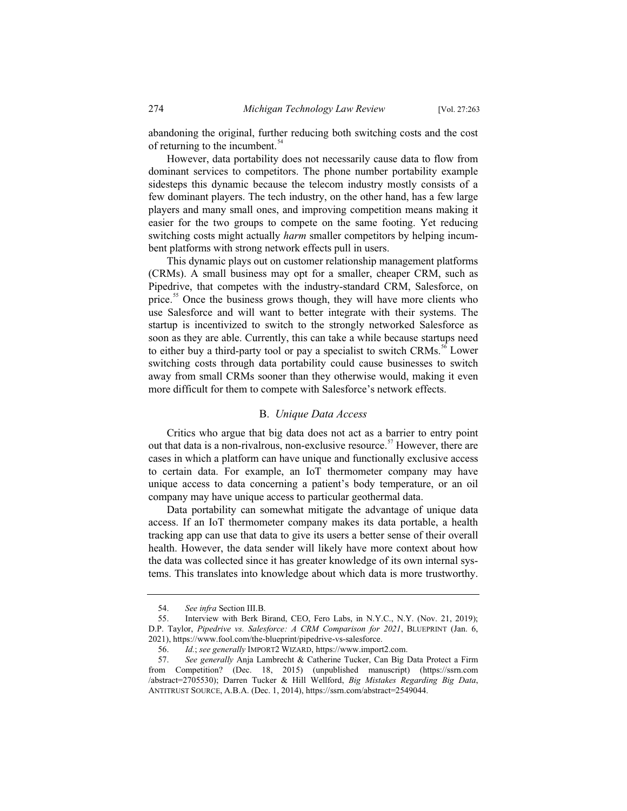abandoning the original, further reducing both switching costs and the cost of returning to the incumbent. $\frac{54}{5}$ 

However, data portability does not necessarily cause data to flow from dominant services to competitors. The phone number portability example sidesteps this dynamic because the telecom industry mostly consists of a few dominant players. The tech industry, on the other hand, has a few large players and many small ones, and improving competition means making it easier for the two groups to compete on the same footing. Yet reducing switching costs might actually *harm* smaller competitors by helping incumbent platforms with strong network effects pull in users.

This dynamic plays out on customer relationship management platforms (CRMs). A small business may opt for a smaller, cheaper CRM, such as Pipedrive, that competes with the industry-standard CRM, Salesforce, on price.<sup>55</sup> Once the business grows though, they will have more clients who use Salesforce and will want to better integrate with their systems. The startup is incentivized to switch to the strongly networked Salesforce as soon as they are able. Currently, this can take a while because startups need to either buy a third-party tool or pay a specialist to switch CRMs.<sup>56</sup> Lower switching costs through data portability could cause businesses to switch away from small CRMs sooner than they otherwise would, making it even more difficult for them to compete with Salesforce's network effects.

### B. *Unique Data Access*

Critics who argue that big data does not act as a barrier to entry point out that data is a non-rivalrous, non-exclusive resource.<sup>57</sup> However, there are cases in which a platform can have unique and functionally exclusive access to certain data. For example, an IoT thermometer company may have unique access to data concerning a patient's body temperature, or an oil company may have unique access to particular geothermal data.

Data portability can somewhat mitigate the advantage of unique data access. If an IoT thermometer company makes its data portable, a health tracking app can use that data to give its users a better sense of their overall health. However, the data sender will likely have more context about how the data was collected since it has greater knowledge of its own internal systems. This translates into knowledge about which data is more trustworthy.

<sup>54.</sup> *See infra Section III.B.*<br>55. Interview with Berk E

Interview with Berk Birand, CEO, Fero Labs, in N.Y.C., N.Y. (Nov. 21, 2019); D.P. Taylor, *Pipedrive vs. Salesforce: A CRM Comparison for 2021*, BLUEPRINT (Jan. 6,

<sup>2021),</sup> https://www.fool.com/the-blueprint/pipedrive-vs-salesforce.<br>56. Id.: see generally IMPORT2 WIZARD, https://www.import 56. *Id.*; *see generally* IMPORT2 WIZARD, https://www.import2.com.

<sup>57.</sup> *See generally* Anja Lambrecht & Catherine Tucker, Can Big Data Protect a Firm from Competition? (Dec. 18, 2015) (unpublished manuscript) (https://ssrn.com /abstract=2705530); Darren Tucker & Hill Wellford, *Big Mistakes Regarding Big Data*, ANTITRUST SOURCE, A.B.A. (Dec. 1, 2014), https://ssrn.com/abstract=2549044.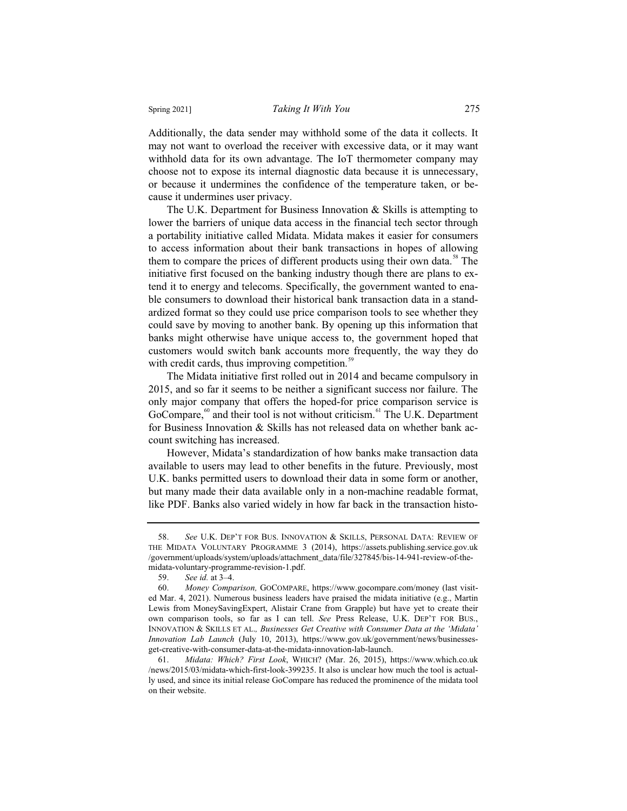Additionally, the data sender may withhold some of the data it collects. It may not want to overload the receiver with excessive data, or it may want withhold data for its own advantage. The IoT thermometer company may choose not to expose its internal diagnostic data because it is unnecessary, or because it undermines the confidence of the temperature taken, or because it undermines user privacy.

The U.K. Department for Business Innovation & Skills is attempting to lower the barriers of unique data access in the financial tech sector through a portability initiative called Midata. Midata makes it easier for consumers to access information about their bank transactions in hopes of allowing them to compare the prices of different products using their own data.<sup>58</sup> The initiative first focused on the banking industry though there are plans to extend it to energy and telecoms. Specifically, the government wanted to enable consumers to download their historical bank transaction data in a standardized format so they could use price comparison tools to see whether they could save by moving to another bank. By opening up this information that banks might otherwise have unique access to, the government hoped that customers would switch bank accounts more frequently, the way they do with credit cards, thus improving competition. $59$ 

The Midata initiative first rolled out in 2014 and became compulsory in 2015, and so far it seems to be neither a significant success nor failure. The only major company that offers the hoped-for price comparison service is GoCompare, $\frac{60}{n}$  and their tool is not without criticism.<sup>61</sup> The U.K. Department for Business Innovation & Skills has not released data on whether bank account switching has increased.

However, Midata's standardization of how banks make transaction data available to users may lead to other benefits in the future. Previously, most U.K. banks permitted users to download their data in some form or another, but many made their data available only in a non-machine readable format, like PDF. Banks also varied widely in how far back in the transaction histo-

<sup>58.</sup> *See* U.K. DEP'T FOR BUS. INNOVATION & SKILLS, PERSONAL DATA: REVIEW OF THE MIDATA VOLUNTARY PROGRAMME 3 (2014), https://assets.publishing.service.gov.uk /government/uploads/system/uploads/attachment\_data/file/327845/bis-14-941-review-of-themidata-voluntary-programme-revision-1.pdf.

<sup>59.</sup> *See id.* at 3–4.

<sup>60.</sup> *Money Comparison,* GOCOMPARE, https://www.gocompare.com/money (last visited Mar. 4, 2021). Numerous business leaders have praised the midata initiative (e.g., Martin Lewis from MoneySavingExpert, Alistair Crane from Grapple) but have yet to create their own comparison tools, so far as I can tell. *See* Press Release, U.K. DEP'T FOR BUS., INNOVATION & SKILLS ET AL.*, Businesses Get Creative with Consumer Data at the 'Midata' Innovation Lab Launch* (July 10, 2013), https://www.gov.uk/government/news/businessesget-creative-with-consumer-data-at-the-midata-innovation-lab-launch.

<sup>61.</sup> *Midata: Which? First Look*, WHICH? (Mar. 26, 2015), https://www.which.co.uk /news/2015/03/midata-which-first-look-399235. It also is unclear how much the tool is actually used, and since its initial release GoCompare has reduced the prominence of the midata tool on their website.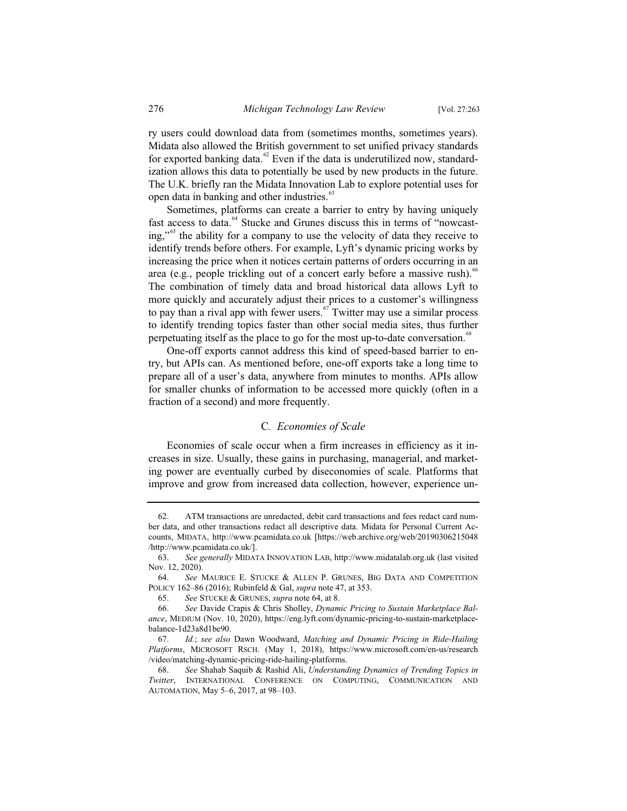ry users could download data from (sometimes months, sometimes years). Midata also allowed the British government to set unified privacy standards for exported banking data. $62$  Even if the data is underutilized now, standardization allows this data to potentially be used by new products in the future. The U.K. briefly ran the Midata Innovation Lab to explore potential uses for open data in banking and other industries.<sup>63</sup>

Sometimes, platforms can create a barrier to entry by having uniquely fast access to data.<sup>64</sup> Stucke and Grunes discuss this in terms of "nowcasting,"<sup>65</sup> the ability for a company to use the velocity of data they receive to identify trends before others. For example, Lyft's dynamic pricing works by increasing the price when it notices certain patterns of orders occurring in an area (e.g., people trickling out of a concert early before a massive rush).<sup>66</sup> The combination of timely data and broad historical data allows Lyft to more quickly and accurately adjust their prices to a customer's willingness to pay than a rival app with fewer users.<sup> $67$ </sup> Twitter may use a similar process to identify trending topics faster than other social media sites, thus further perpetuating itself as the place to go for the most up-to-date conversation.<sup>68</sup>

One-off exports cannot address this kind of speed-based barrier to entry, but APIs can. As mentioned before, one-off exports take a long time to prepare all of a user's data, anywhere from minutes to months. APIs allow for smaller chunks of information to be accessed more quickly (often in a fraction of a second) and more frequently.

### C*. Economies of Scale*

Economies of scale occur when a firm increases in efficiency as it increases in size. Usually, these gains in purchasing, managerial, and marketing power are eventually curbed by diseconomies of scale. Platforms that improve and grow from increased data collection, however, experience un-

<sup>62.</sup> ATM transactions are unredacted, debit card transactions and fees redact card number data, and other transactions redact all descriptive data. Midata for Personal Current Accounts, MIDATA, http://www.pcamidata.co.uk [https://web.archive.org/web/20190306215048 /http://www.pcamidata.co.uk/].

<sup>63.</sup> *See generally* MIDATA INNOVATION LAB, http://www.midatalab.org.uk (last visited Nov. 12, 2020).

<sup>64.</sup> *See* MAURICE E. STUCKE & ALLEN P. GRUNES, BIG DATA AND COMPETITION POLICY 162–86 (2016); Rubinfeld & Gal, *supra* note 47, at 353.

<sup>65.</sup> *See* STUCKE & GRUNES, *supra* note 64, at 8.

<sup>66.</sup> *See* Davide Crapis & Chris Sholley, *Dynamic Pricing to Sustain Marketplace Balance*, MEDIUM (Nov. 10, 2020), https://eng.lyft.com/dynamic-pricing-to-sustain-marketplacebalance-1d23a8d1be90.

<sup>67.</sup> *Id.*; *see also* Dawn Woodward, *Matching and Dynamic Pricing in Ride-Hailing Platforms*, MICROSOFT RSCH. (May 1, 2018), https://www.microsoft.com/en-us/research /video/matching-dynamic-pricing-ride-hailing-platforms.

<sup>68.</sup> *See* Shahab Saquib & Rashid Ali, *Understanding Dynamics of Trending Topics in Twitter*, INTERNATIONAL CONFERENCE ON COMPUTING, COMMUNICATION AND AUTOMATION, May 5–6, 2017, at 98–103.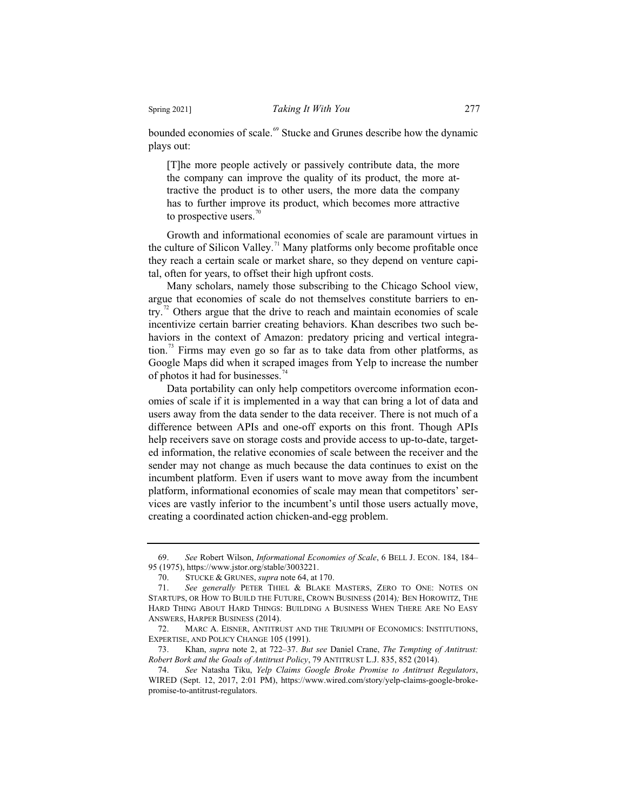bounded economies of scale.<sup>69</sup> Stucke and Grunes describe how the dynamic plays out:

[T]he more people actively or passively contribute data, the more the company can improve the quality of its product, the more attractive the product is to other users, the more data the company has to further improve its product, which becomes more attractive to prospective users. $\frac{70}{10}$ 

Growth and informational economies of scale are paramount virtues in the culture of Silicon Valley.<sup>71</sup> Many platforms only become profitable once they reach a certain scale or market share, so they depend on venture capital, often for years, to offset their high upfront costs.

Many scholars, namely those subscribing to the Chicago School view, argue that economies of scale do not themselves constitute barriers to entry.<sup>72</sup> Others argue that the drive to reach and maintain economies of scale incentivize certain barrier creating behaviors. Khan describes two such behaviors in the context of Amazon: predatory pricing and vertical integration.<sup>73</sup> Firms may even go so far as to take data from other platforms, as Google Maps did when it scraped images from Yelp to increase the number of photos it had for businesses.<sup>74</sup>

Data portability can only help competitors overcome information economies of scale if it is implemented in a way that can bring a lot of data and users away from the data sender to the data receiver. There is not much of a difference between APIs and one-off exports on this front. Though APIs help receivers save on storage costs and provide access to up-to-date, targeted information, the relative economies of scale between the receiver and the sender may not change as much because the data continues to exist on the incumbent platform. Even if users want to move away from the incumbent platform, informational economies of scale may mean that competitors' services are vastly inferior to the incumbent's until those users actually move, creating a coordinated action chicken-and-egg problem.

<sup>69.</sup> *See* Robert Wilson, *Informational Economies of Scale*, 6 BELL J. ECON. 184, 184– 95 (1975), https://www.jstor.org/stable/3003221.

<sup>70.</sup> STUCKE & GRUNES, *supra* note 64, at 170.<br>71. See generally PETER THIEL & BLAKE

See generally PETER THIEL & BLAKE MASTERS, ZERO TO ONE: NOTES ON STARTUPS, OR HOW TO BUILD THE FUTURE, CROWN BUSINESS (2014)*;* BEN HOROWITZ, THE HARD THING ABOUT HARD THINGS: BUILDING A BUSINESS WHEN THERE ARE NO EASY ANSWERS, HARPER BUSINESS (2014).

<sup>72.</sup> MARC A. EISNER, ANTITRUST AND THE TRIUMPH OF ECONOMICS: INSTITUTIONS, EXPERTISE, AND POLICY CHANGE 105 (1991).

<sup>73.</sup> Khan, *supra* note 2, at 722–37. *But see* Daniel Crane, *The Tempting of Antitrust: Robert Bork and the Goals of Antitrust Policy*, 79 ANTITRUST L.J. 835, 852 (2014).

<sup>74.</sup> *See* Natasha Tiku, *Yelp Claims Google Broke Promise to Antitrust Regulators*, WIRED (Sept. 12, 2017, 2:01 PM), https://www.wired.com/story/yelp-claims-google-brokepromise-to-antitrust-regulators.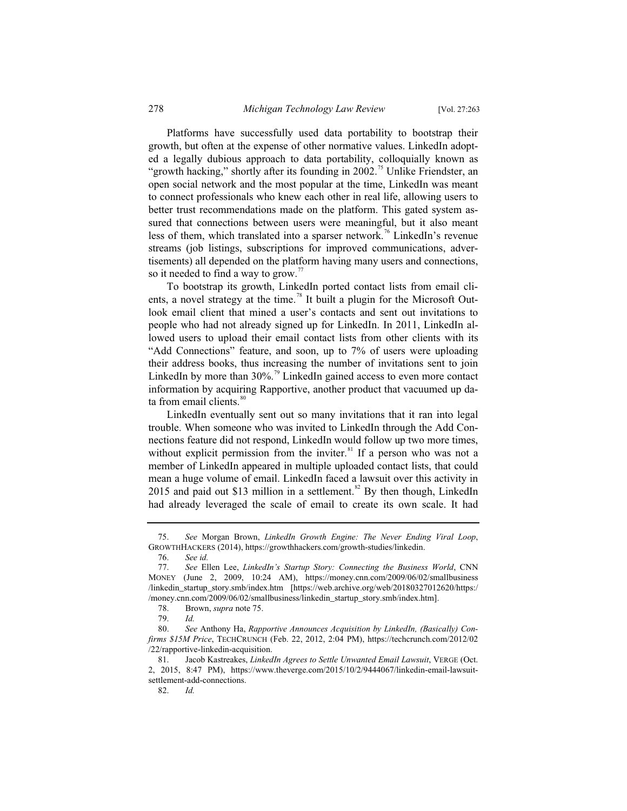Platforms have successfully used data portability to bootstrap their growth, but often at the expense of other normative values. LinkedIn adopted a legally dubious approach to data portability, colloquially known as "growth hacking," shortly after its founding in 2002.<sup>75</sup> Unlike Friendster, an open social network and the most popular at the time, LinkedIn was meant to connect professionals who knew each other in real life, allowing users to better trust recommendations made on the platform. This gated system assured that connections between users were meaningful, but it also meant less of them, which translated into a sparser network.<sup>76</sup> LinkedIn's revenue streams (job listings, subscriptions for improved communications, advertisements) all depended on the platform having many users and connections, so it needed to find a way to grow. $\frac{7}{7}$ 

To bootstrap its growth, LinkedIn ported contact lists from email clients, a novel strategy at the time.<sup>78</sup> It built a plugin for the Microsoft Outlook email client that mined a user's contacts and sent out invitations to people who had not already signed up for LinkedIn. In 2011, LinkedIn allowed users to upload their email contact lists from other clients with its "Add Connections" feature, and soon, up to 7% of users were uploading their address books, thus increasing the number of invitations sent to join LinkedIn by more than  $30\%$ <sup>79</sup> LinkedIn gained access to even more contact information by acquiring Rapportive, another product that vacuumed up data from email clients.<sup>80</sup>

LinkedIn eventually sent out so many invitations that it ran into legal trouble. When someone who was invited to LinkedIn through the Add Connections feature did not respond, LinkedIn would follow up two more times, without explicit permission from the inviter. ${}^{81}$  If a person who was not a member of LinkedIn appeared in multiple uploaded contact lists, that could mean a huge volume of email. LinkedIn faced a lawsuit over this activity in 2015 and paid out \$13 million in a settlement.<sup>82</sup> By then though, LinkedIn had already leveraged the scale of email to create its own scale. It had

<sup>75.</sup> *See* Morgan Brown, *LinkedIn Growth Engine: The Never Ending Viral Loop*, GROWTHHACKERS (2014), https://growthhackers.com/growth-studies/linkedin.<br>76. See id.

<sup>76.</sup> *See id.*

<sup>77.</sup> *See* Ellen Lee, *LinkedIn's Startup Story: Connecting the Business World*, CNN MONEY (June 2, 2009, 10:24 AM), https://money.cnn.com/2009/06/02/smallbusiness /linkedin\_startup\_story.smb/index.htm [https://web.archive.org/web/20180327012620/https:/ /money.cnn.com/2009/06/02/smallbusiness/linkedin\_startup\_story.smb/index.htm].

<sup>78.</sup> Brown, *supra* note 75.

<sup>79.</sup> *Id.*

<sup>80.</sup> *See* Anthony Ha, *Rapportive Announces Acquisition by LinkedIn, (Basically) Confirms \$15M Price*, TECHCRUNCH (Feb. 22, 2012, 2:04 PM), https://techcrunch.com/2012/02 /22/rapportive-linkedin-acquisition.<br>81. Jacob Kastreakes, Linked

<sup>81.</sup> Jacob Kastreakes, *LinkedIn Agrees to Settle Unwanted Email Lawsuit*, VERGE (Oct. 2, 2015, 8:47 PM), https://www.theverge.com/2015/10/2/9444067/linkedin-email-lawsuitsettlement-add-connections.

<sup>82.</sup> *Id.*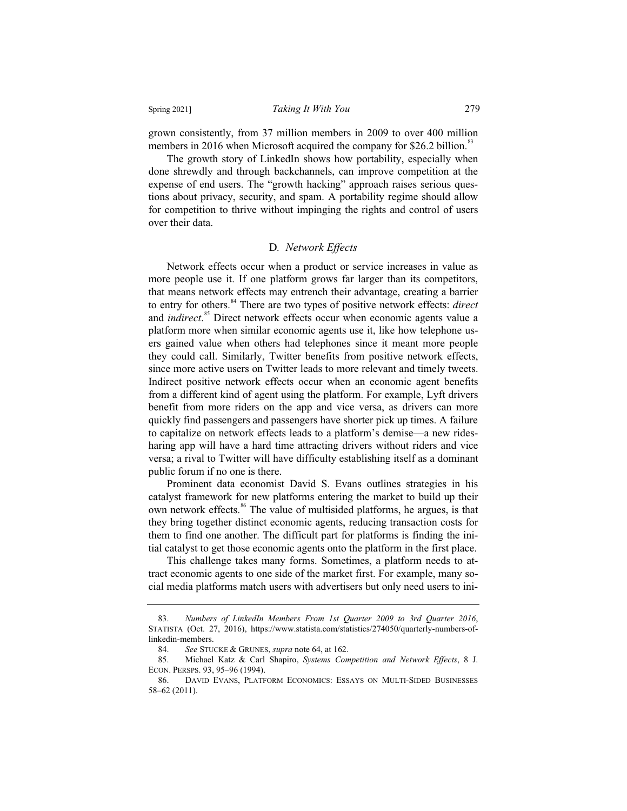grown consistently, from 37 million members in 2009 to over 400 million members in 2016 when Microsoft acquired the company for \$26.2 billion.<sup>83</sup>

The growth story of LinkedIn shows how portability, especially when done shrewdly and through backchannels, can improve competition at the expense of end users. The "growth hacking" approach raises serious questions about privacy, security, and spam. A portability regime should allow for competition to thrive without impinging the rights and control of users over their data.

# D*. Network Effects*

Network effects occur when a product or service increases in value as more people use it. If one platform grows far larger than its competitors, that means network effects may entrench their advantage, creating a barrier to entry for others.<sup>84</sup> There are two types of positive network effects: *direct* and *indirect*. <sup>85</sup> Direct network effects occur when economic agents value a platform more when similar economic agents use it, like how telephone users gained value when others had telephones since it meant more people they could call. Similarly, Twitter benefits from positive network effects, since more active users on Twitter leads to more relevant and timely tweets. Indirect positive network effects occur when an economic agent benefits from a different kind of agent using the platform. For example, Lyft drivers benefit from more riders on the app and vice versa, as drivers can more quickly find passengers and passengers have shorter pick up times. A failure to capitalize on network effects leads to a platform's demise—a new ridesharing app will have a hard time attracting drivers without riders and vice versa; a rival to Twitter will have difficulty establishing itself as a dominant public forum if no one is there.

Prominent data economist David S. Evans outlines strategies in his catalyst framework for new platforms entering the market to build up their own network effects.<sup>86</sup> The value of multisided platforms, he argues, is that they bring together distinct economic agents, reducing transaction costs for them to find one another. The difficult part for platforms is finding the initial catalyst to get those economic agents onto the platform in the first place.

This challenge takes many forms. Sometimes, a platform needs to attract economic agents to one side of the market first. For example, many social media platforms match users with advertisers but only need users to ini-

<sup>83.</sup> *Numbers of LinkedIn Members From 1st Quarter 2009 to 3rd Quarter 2016*, STATISTA (Oct. 27, 2016), https://www.statista.com/statistics/274050/quarterly-numbers-oflinkedin-members.<br>84. See STU

See STUCKE & GRUNES, *supra* note 64, at 162.

<sup>85.</sup> Michael Katz & Carl Shapiro, *Systems Competition and Network Effects*, 8 J. ECON. PERSPS. 93, 95–96 (1994).

<sup>86.</sup> DAVID EVANS, PLATFORM ECONOMICS: ESSAYS ON MULTI-SIDED BUSINESSES 58–62 (2011).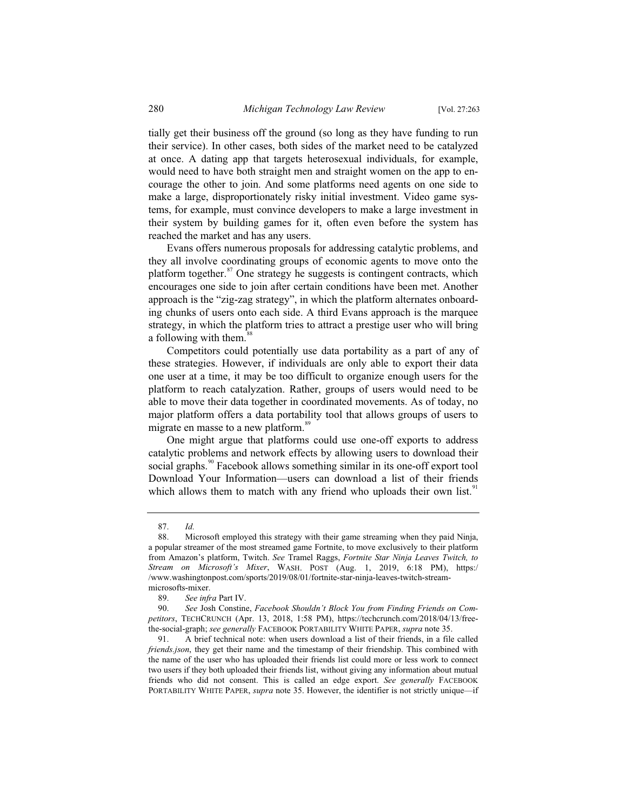tially get their business off the ground (so long as they have funding to run their service). In other cases, both sides of the market need to be catalyzed at once. A dating app that targets heterosexual individuals, for example, would need to have both straight men and straight women on the app to encourage the other to join. And some platforms need agents on one side to make a large, disproportionately risky initial investment. Video game systems, for example, must convince developers to make a large investment in their system by building games for it, often even before the system has reached the market and has any users.

Evans offers numerous proposals for addressing catalytic problems, and they all involve coordinating groups of economic agents to move onto the platform together. $87$  One strategy he suggests is contingent contracts, which encourages one side to join after certain conditions have been met. Another approach is the "zig-zag strategy", in which the platform alternates onboarding chunks of users onto each side. A third Evans approach is the marquee strategy, in which the platform tries to attract a prestige user who will bring a following with them.<sup>88</sup>

Competitors could potentially use data portability as a part of any of these strategies. However, if individuals are only able to export their data one user at a time, it may be too difficult to organize enough users for the platform to reach catalyzation. Rather, groups of users would need to be able to move their data together in coordinated movements. As of today, no major platform offers a data portability tool that allows groups of users to migrate en masse to a new platform.<sup>89</sup>

One might argue that platforms could use one-off exports to address catalytic problems and network effects by allowing users to download their social graphs.<sup>90</sup> Facebook allows something similar in its one-off export tool Download Your Information—users can download a list of their friends which allows them to match with any friend who uploads their own list.<sup>9</sup>

<sup>87.</sup> *Id.*

<sup>88.</sup> Microsoft employed this strategy with their game streaming when they paid Ninja, a popular streamer of the most streamed game Fortnite, to move exclusively to their platform from Amazon's platform, Twitch. *See* Tramel Raggs, *Fortnite Star Ninja Leaves Twitch, to Stream on Microsoft's Mixer*, WASH. POST (Aug. 1, 2019, 6:18 PM), https:/ /www.washingtonpost.com/sports/2019/08/01/fortnite-star-ninja-leaves-twitch-streammicrosofts-mixer.

<sup>89.</sup> *See infra* Part IV.

<sup>90.</sup> *See* Josh Constine, *Facebook Shouldn't Block You from Finding Friends on Competitors*, TECHCRUNCH (Apr. 13, 2018, 1:58 PM), https://techcrunch.com/2018/04/13/freethe-social-graph; *see generally* FACEBOOK PORTABILITY WHITE PAPER, *supra* note 35.

<sup>91.</sup> A brief technical note: when users download a list of their friends, in a file called *friends.json*, they get their name and the timestamp of their friendship. This combined with the name of the user who has uploaded their friends list could more or less work to connect two users if they both uploaded their friends list, without giving any information about mutual friends who did not consent. This is called an edge export. *See generally* FACEBOOK PORTABILITY WHITE PAPER, *supra* note 35. However, the identifier is not strictly unique—if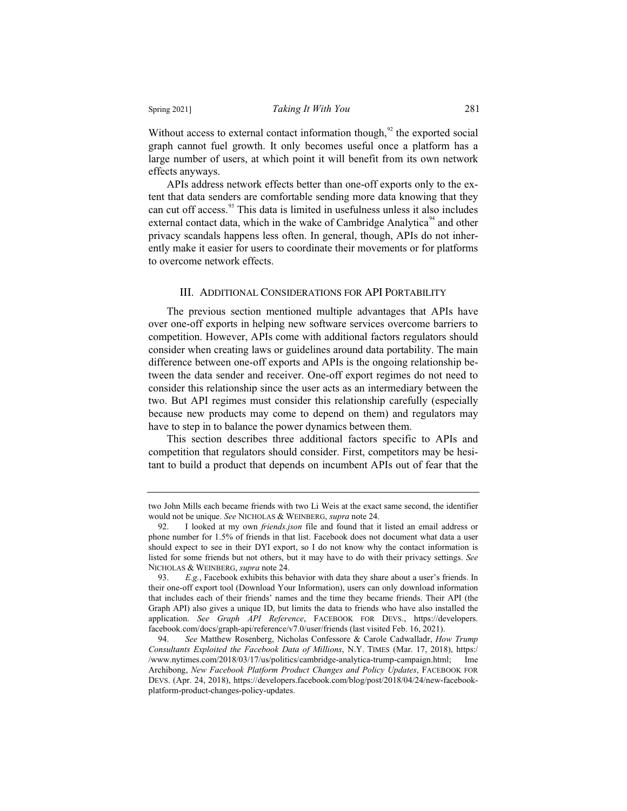Without access to external contact information though, $92$  the exported social graph cannot fuel growth. It only becomes useful once a platform has a large number of users, at which point it will benefit from its own network effects anyways.

APIs address network effects better than one-off exports only to the extent that data senders are comfortable sending more data knowing that they can cut off access.<sup>93</sup> This data is limited in usefulness unless it also includes external contact data, which in the wake of Cambridge Analytica<sup>94</sup> and other privacy scandals happens less often. In general, though, APIs do not inherently make it easier for users to coordinate their movements or for platforms to overcome network effects.

# III. ADDITIONAL CONSIDERATIONS FOR API PORTABILITY

The previous section mentioned multiple advantages that APIs have over one-off exports in helping new software services overcome barriers to competition. However, APIs come with additional factors regulators should consider when creating laws or guidelines around data portability. The main difference between one-off exports and APIs is the ongoing relationship between the data sender and receiver. One-off export regimes do not need to consider this relationship since the user acts as an intermediary between the two. But API regimes must consider this relationship carefully (especially because new products may come to depend on them) and regulators may have to step in to balance the power dynamics between them.

This section describes three additional factors specific to APIs and competition that regulators should consider. First, competitors may be hesitant to build a product that depends on incumbent APIs out of fear that the

two John Mills each became friends with two Li Weis at the exact same second, the identifier would not be unique. *See* NICHOLAS & WEINBERG, *supra* note 24.

<sup>92.</sup> I looked at my own *friends.json* file and found that it listed an email address or phone number for 1.5% of friends in that list. Facebook does not document what data a user should expect to see in their DYI export, so I do not know why the contact information is listed for some friends but not others, but it may have to do with their privacy settings. *See* NICHOLAS & WEINBERG, *supra* note 24.

<sup>93.</sup> *E.g.*, Facebook exhibits this behavior with data they share about a user's friends. In their one-off export tool (Download Your Information), users can only download information that includes each of their friends' names and the time they became friends. Their API (the Graph API) also gives a unique ID, but limits the data to friends who have also installed the application. *See Graph API Reference*, FACEBOOK FOR DEVS., https://developers. facebook.com/docs/graph-api/reference/v7.0/user/friends (last visited Feb. 16, 2021).

<sup>94.</sup> *See* Matthew Rosenberg, Nicholas Confessore & Carole Cadwalladr, *How Trump Consultants Exploited the Facebook Data of Millions*, N.Y. TIMES (Mar. 17, 2018), https:/ /www.nytimes.com/2018/03/17/us/politics/cambridge-analytica-trump-campaign.html; Ime Archibong, *New Facebook Platform Product Changes and Policy Updates*, FACEBOOK FOR DEVS. (Apr. 24, 2018), https://developers.facebook.com/blog/post/2018/04/24/new-facebookplatform-product-changes-policy-updates.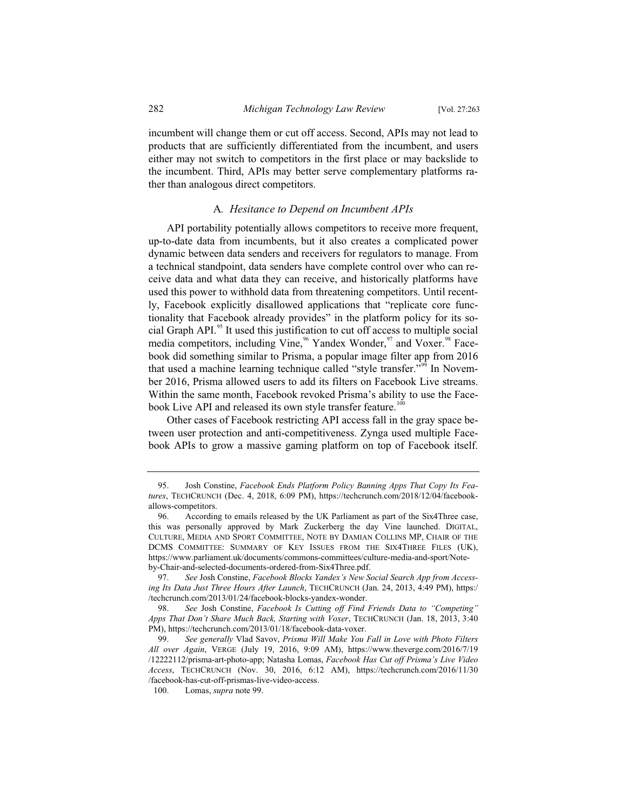incumbent will change them or cut off access. Second, APIs may not lead to products that are sufficiently differentiated from the incumbent, and users either may not switch to competitors in the first place or may backslide to the incumbent. Third, APIs may better serve complementary platforms rather than analogous direct competitors.

# A*. Hesitance to Depend on Incumbent APIs*

API portability potentially allows competitors to receive more frequent, up-to-date data from incumbents, but it also creates a complicated power dynamic between data senders and receivers for regulators to manage. From a technical standpoint, data senders have complete control over who can receive data and what data they can receive, and historically platforms have used this power to withhold data from threatening competitors. Until recently, Facebook explicitly disallowed applications that "replicate core functionality that Facebook already provides" in the platform policy for its social Graph API.<sup>95</sup> It used this justification to cut off access to multiple social media competitors, including Vine,<sup>96</sup> Yandex Wonder,<sup>97</sup> and Voxer.<sup>98</sup> Facebook did something similar to Prisma, a popular image filter app from 2016 that used a machine learning technique called "style transfer."<sup>99</sup> In November 2016, Prisma allowed users to add its filters on Facebook Live streams. Within the same month, Facebook revoked Prisma's ability to use the Facebook Live API and released its own style transfer feature.<sup>100</sup>

Other cases of Facebook restricting API access fall in the gray space between user protection and anti-competitiveness. Zynga used multiple Facebook APIs to grow a massive gaming platform on top of Facebook itself.

<sup>95.</sup> Josh Constine, *Facebook Ends Platform Policy Banning Apps That Copy Its Features*, TECHCRUNCH (Dec. 4, 2018, 6:09 PM), https://techcrunch.com/2018/12/04/facebookallows-competitors.

<sup>96.</sup> According to emails released by the UK Parliament as part of the Six4Three case, this was personally approved by Mark Zuckerberg the day Vine launched. DIGITAL, CULTURE, MEDIA AND SPORT COMMITTEE, NOTE BY DAMIAN COLLINS MP, CHAIR OF THE DCMS COMMITTEE: SUMMARY OF KEY ISSUES FROM THE SIX4THREE FILES (UK), https://www.parliament.uk/documents/commons-committees/culture-media-and-sport/Noteby-Chair-and-selected-documents-ordered-from-Six4Three.pdf.

<sup>97.</sup> *See* Josh Constine, *Facebook Blocks Yandex's New Social Search App from Accessing Its Data Just Three Hours After Launch*, TECHCRUNCH (Jan. 24, 2013, 4:49 PM), https:/ /techcrunch.com/2013/01/24/facebook-blocks-yandex-wonder.

<sup>98.</sup> *See* Josh Constine, *Facebook Is Cutting off Find Friends Data to "Competing" Apps That Don't Share Much Back, Starting with Voxer*, TECHCRUNCH (Jan. 18, 2013, 3:40 PM), https://techcrunch.com/2013/01/18/facebook-data-voxer.

<sup>99.</sup> *See generally* Vlad Savov, *Prisma Will Make You Fall in Love with Photo Filters All over Again*, VERGE (July 19, 2016, 9:09 AM), https://www.theverge.com/2016/7/19 /12222112/prisma-art-photo-app; Natasha Lomas, *Facebook Has Cut off Prisma's Live Video Access*, TECHCRUNCH (Nov. 30, 2016, 6:12 AM), https://techcrunch.com/2016/11/30 /facebook-has-cut-off-prismas-live-video-access.

<sup>100.</sup> Lomas, *supra* note 99.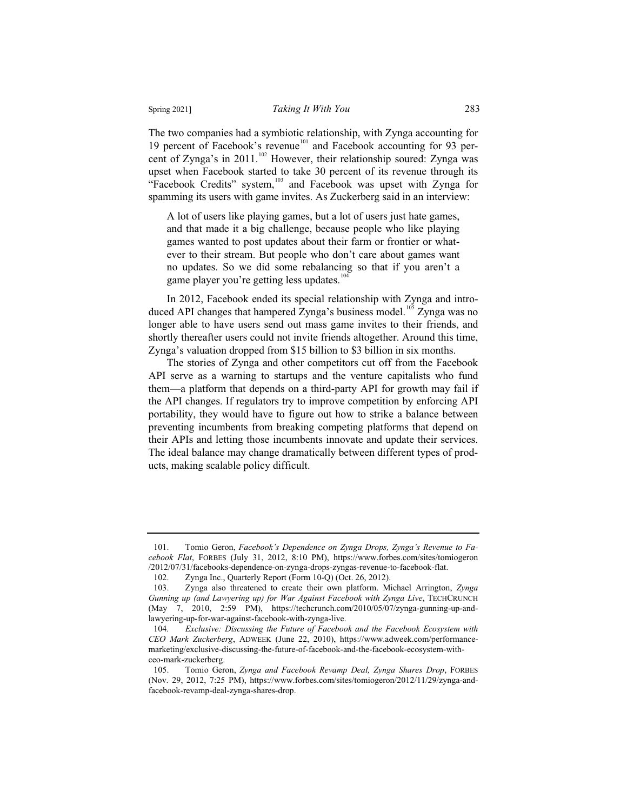The two companies had a symbiotic relationship, with Zynga accounting for 19 percent of Facebook's revenue<sup>101</sup> and Facebook accounting for 93 percent of Zynga's in 2011.<sup>102</sup> However, their relationship soured: Zynga was upset when Facebook started to take 30 percent of its revenue through its "Facebook Credits" system,<sup>103</sup> and Facebook was upset with Zynga for spamming its users with game invites. As Zuckerberg said in an interview:

A lot of users like playing games, but a lot of users just hate games, and that made it a big challenge, because people who like playing games wanted to post updates about their farm or frontier or whatever to their stream. But people who don't care about games want no updates. So we did some rebalancing so that if you aren't a game player you're getting less updates.<sup>104</sup>

In 2012, Facebook ended its special relationship with Zynga and introduced API changes that hampered Zynga's business model.<sup>105</sup> Zynga was no longer able to have users send out mass game invites to their friends, and shortly thereafter users could not invite friends altogether. Around this time, Zynga's valuation dropped from \$15 billion to \$3 billion in six months.

The stories of Zynga and other competitors cut off from the Facebook API serve as a warning to startups and the venture capitalists who fund them—a platform that depends on a third-party API for growth may fail if the API changes. If regulators try to improve competition by enforcing API portability, they would have to figure out how to strike a balance between preventing incumbents from breaking competing platforms that depend on their APIs and letting those incumbents innovate and update their services. The ideal balance may change dramatically between different types of products, making scalable policy difficult.

<sup>101.</sup> Tomio Geron, *Facebook's Dependence on Zynga Drops, Zynga's Revenue to Facebook Flat*, FORBES (July 31, 2012, 8:10 PM), https://www.forbes.com/sites/tomiogeron /2012/07/31/facebooks-dependence-on-zynga-drops-zyngas-revenue-to-facebook-flat.

<sup>102.</sup> Zynga Inc., Quarterly Report (Form 10-Q) (Oct. 26, 2012).<br>103. Zynga also threatened to create their own platform. M

<sup>103.</sup> Zynga also threatened to create their own platform. Michael Arrington, *Zynga Gunning up (and Lawyering up) for War Against Facebook with Zynga Live*, TECHCRUNCH (May 7, 2010, 2:59 PM), https://techcrunch.com/2010/05/07/zynga-gunning-up-andlawyering-up-for-war-against-facebook-with-zynga-live.

<sup>104</sup>*. Exclusive: Discussing the Future of Facebook and the Facebook Ecosystem with CEO Mark Zuckerberg*, ADWEEK (June 22, 2010), https://www.adweek.com/performancemarketing/exclusive-discussing-the-future-of-facebook-and-the-facebook-ecosystem-withceo-mark-zuckerberg.

<sup>105.</sup> Tomio Geron, *Zynga and Facebook Revamp Deal, Zynga Shares Drop*, FORBES (Nov. 29, 2012, 7:25 PM), https://www.forbes.com/sites/tomiogeron/2012/11/29/zynga-andfacebook-revamp-deal-zynga-shares-drop.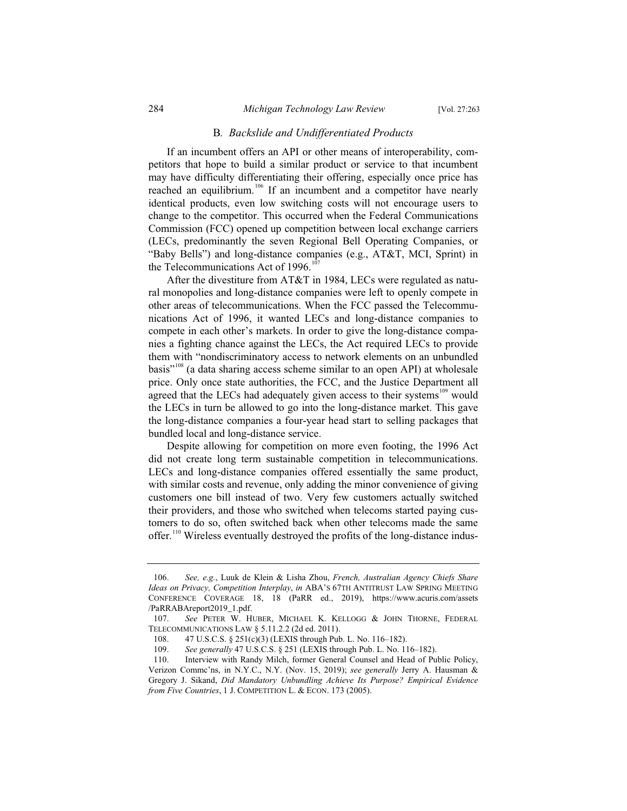## B*. Backslide and Undifferentiated Products*

If an incumbent offers an API or other means of interoperability, competitors that hope to build a similar product or service to that incumbent may have difficulty differentiating their offering, especially once price has reached an equilibrium.<sup>106</sup> If an incumbent and a competitor have nearly identical products, even low switching costs will not encourage users to change to the competitor. This occurred when the Federal Communications Commission (FCC) opened up competition between local exchange carriers (LECs, predominantly the seven Regional Bell Operating Companies, or "Baby Bells") and long-distance companies (e.g., AT&T, MCI, Sprint) in the Telecommunications Act of 1996.<sup>107</sup>

After the divestiture from AT&T in 1984, LECs were regulated as natural monopolies and long-distance companies were left to openly compete in other areas of telecommunications. When the FCC passed the Telecommunications Act of 1996, it wanted LECs and long-distance companies to compete in each other's markets. In order to give the long-distance companies a fighting chance against the LECs, the Act required LECs to provide them with "nondiscriminatory access to network elements on an unbundled basis"<sup>108</sup> (a data sharing access scheme similar to an open API) at wholesale price. Only once state authorities, the FCC, and the Justice Department all agreed that the LECs had adequately given access to their systems<sup>109</sup> would the LECs in turn be allowed to go into the long-distance market. This gave the long-distance companies a four-year head start to selling packages that bundled local and long-distance service.

Despite allowing for competition on more even footing, the 1996 Act did not create long term sustainable competition in telecommunications. LECs and long-distance companies offered essentially the same product, with similar costs and revenue, only adding the minor convenience of giving customers one bill instead of two. Very few customers actually switched their providers, and those who switched when telecoms started paying customers to do so, often switched back when other telecoms made the same offer.<sup>110</sup> Wireless eventually destroyed the profits of the long-distance indus-

<sup>106.</sup> *See, e.g.*, Luuk de Klein & Lisha Zhou, *French, Australian Agency Chiefs Share Ideas on Privacy, Competition Interplay*, *in* ABA'S 67TH ANTITRUST LAW SPRING MEETING CONFERENCE COVERAGE 18, 18 (PaRR ed., 2019), https://www.acuris.com/assets /PaRRABAreport2019\_1.pdf.

<sup>107.</sup> *See* PETER W. HUBER, MICHAEL K. KELLOGG & JOHN THORNE, FEDERAL TELECOMMUNICATIONS LAW § 5.11.2.2 (2d ed. 2011).

<sup>108. 47</sup> U.S.C.S. § 251(c)(3) (LEXIS through Pub. L. No. 116–182).<br>109. See generally 47 U.S.C.S. § 251 (LEXIS through Pub. L. No. 11

<sup>109.</sup> *See generally* 47 U.S.C.S. § 251 (LEXIS through Pub. L. No. 116–182).

<sup>110.</sup> Interview with Randy Milch, former General Counsel and Head of Public Policy, Verizon Commc'ns, in N.Y.C., N.Y. (Nov. 15, 2019); *see generally* Jerry A. Hausman & Gregory J. Sikand, *Did Mandatory Unbundling Achieve Its Purpose? Empirical Evidence from Five Countries*, 1 J. COMPETITION L. & ECON. 173 (2005).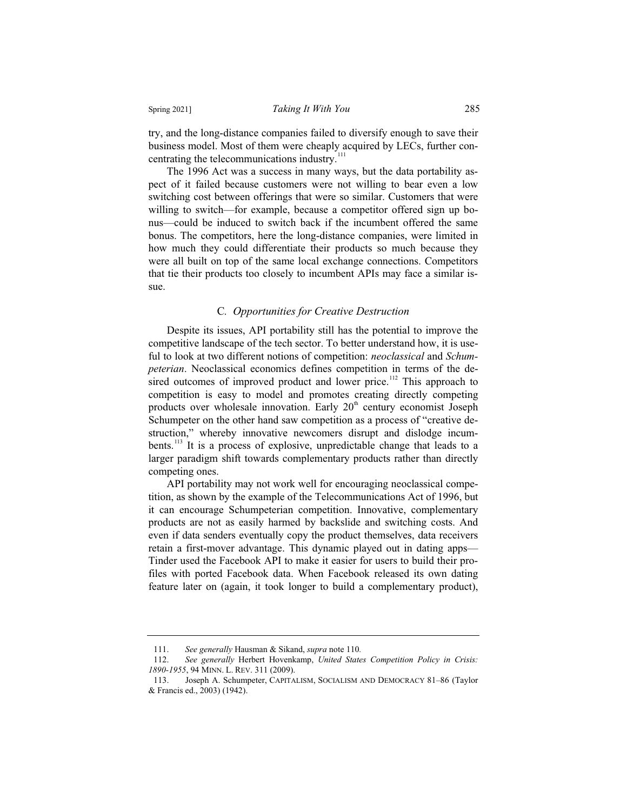try, and the long-distance companies failed to diversify enough to save their business model. Most of them were cheaply acquired by LECs, further concentrating the telecommunications industry.<sup>111</sup>

The 1996 Act was a success in many ways, but the data portability aspect of it failed because customers were not willing to bear even a low switching cost between offerings that were so similar. Customers that were willing to switch—for example, because a competitor offered sign up bonus—could be induced to switch back if the incumbent offered the same bonus. The competitors, here the long-distance companies, were limited in how much they could differentiate their products so much because they were all built on top of the same local exchange connections. Competitors that tie their products too closely to incumbent APIs may face a similar issue.

# C*. Opportunities for Creative Destruction*

Despite its issues, API portability still has the potential to improve the competitive landscape of the tech sector. To better understand how, it is useful to look at two different notions of competition: *neoclassical* and *Schumpeterian*. Neoclassical economics defines competition in terms of the desired outcomes of improved product and lower price.<sup>112</sup> This approach to competition is easy to model and promotes creating directly competing products over wholesale innovation. Early  $20<sup>th</sup>$  century economist Joseph Schumpeter on the other hand saw competition as a process of "creative destruction," whereby innovative newcomers disrupt and dislodge incumbents.<sup>113</sup> It is a process of explosive, unpredictable change that leads to a larger paradigm shift towards complementary products rather than directly competing ones.

API portability may not work well for encouraging neoclassical competition, as shown by the example of the Telecommunications Act of 1996, but it can encourage Schumpeterian competition. Innovative, complementary products are not as easily harmed by backslide and switching costs. And even if data senders eventually copy the product themselves, data receivers retain a first-mover advantage. This dynamic played out in dating apps— Tinder used the Facebook API to make it easier for users to build their profiles with ported Facebook data. When Facebook released its own dating feature later on (again, it took longer to build a complementary product),

<sup>111.</sup> *See generally* Hausman & Sikand, *supra* note 110*.*

<sup>112.</sup> *See generally* Herbert Hovenkamp, *United States Competition Policy in Crisis: 1890-1955*, 94 MINN. L. REV. 311 (2009).

<sup>113.</sup> Joseph A. Schumpeter, CAPITALISM, SOCIALISM AND DEMOCRACY 81–86 (Taylor & Francis ed., 2003) (1942).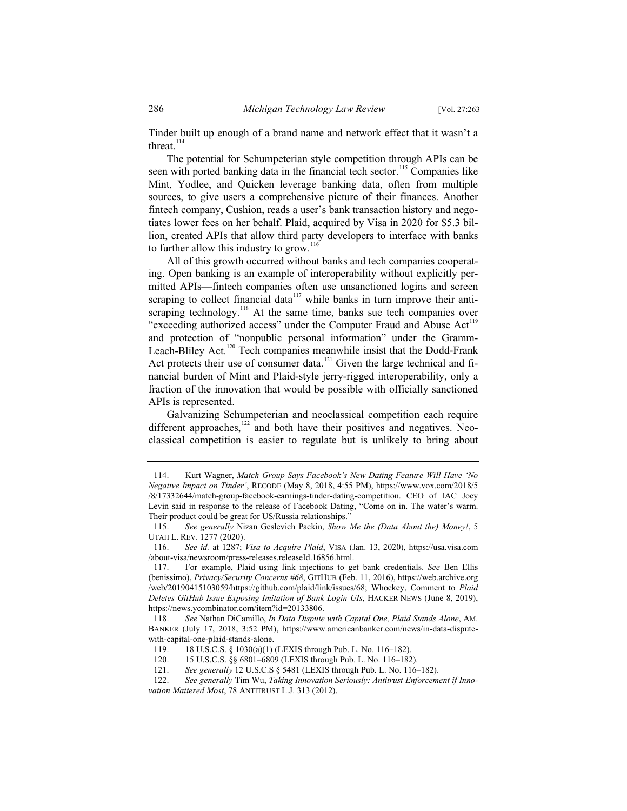Tinder built up enough of a brand name and network effect that it wasn't a threat.<sup>114</sup>

The potential for Schumpeterian style competition through APIs can be seen with ported banking data in the financial tech sector.<sup>115</sup> Companies like Mint, Yodlee, and Quicken leverage banking data, often from multiple sources, to give users a comprehensive picture of their finances. Another fintech company, Cushion, reads a user's bank transaction history and negotiates lower fees on her behalf. Plaid, acquired by Visa in 2020 for \$5.3 billion, created APIs that allow third party developers to interface with banks to further allow this industry to grow.<sup>116</sup>

All of this growth occurred without banks and tech companies cooperating. Open banking is an example of interoperability without explicitly permitted APIs—fintech companies often use unsanctioned logins and screen scraping to collect financial data<sup>117</sup> while banks in turn improve their antiscraping technology.<sup>118</sup> At the same time, banks sue tech companies over "exceeding authorized access" under the Computer Fraud and Abuse Act<sup>119</sup> and protection of "nonpublic personal information" under the Gramm-Leach-Bliley Act.<sup>120</sup> Tech companies meanwhile insist that the Dodd-Frank Act protects their use of consumer data.<sup>121</sup> Given the large technical and financial burden of Mint and Plaid-style jerry-rigged interoperability, only a fraction of the innovation that would be possible with officially sanctioned APIs is represented.

Galvanizing Schumpeterian and neoclassical competition each require different approaches,<sup>122</sup> and both have their positives and negatives. Neoclassical competition is easier to regulate but is unlikely to bring about

<sup>114.</sup> Kurt Wagner, *Match Group Says Facebook's New Dating Feature Will Have 'No Negative Impact on Tinder'*, RECODE (May 8, 2018, 4:55 PM), https://www.vox.com/2018/5 /8/17332644/match-group-facebook-earnings-tinder-dating-competition. CEO of IAC Joey Levin said in response to the release of Facebook Dating, "Come on in. The water's warm. Their product could be great for US/Russia relationships."

<sup>115.</sup> *See generally* Nizan Geslevich Packin, *Show Me the (Data About the) Money!*, 5 UTAH L. REV. 1277 (2020).

<sup>116.</sup> *See id.* at 1287; *Visa to Acquire Plaid*, VISA (Jan. 13, 2020), https://usa.visa.com /about-visa/newsroom/press-releases.releaseId.16856.html.

<sup>117.</sup> For example, Plaid using link injections to get bank credentials. *See* Ben Ellis (benissimo), *Privacy/Security Concerns #68*, GITHUB (Feb. 11, 2016), https://web.archive.org /web/20190415103059/https://github.com/plaid/link/issues/68; Whockey, Comment to *Plaid Deletes GitHub Issue Exposing Imitation of Bank Login UIs*, HACKER NEWS (June 8, 2019), https://news.ycombinator.com/item?id=20133806.

<sup>118.</sup> *See* Nathan DiCamillo, *In Data Dispute with Capital One, Plaid Stands Alone*, AM. BANKER (July 17, 2018, 3:52 PM), https://www.americanbanker.com/news/in-data-disputewith-capital-one-plaid-stands-alone.<br>119.  $18 \text{ U.S.C.S.} \& 1030(a)(1)$ 

<sup>119. 18</sup> U.S.C.S. § 1030(a)(1) (LEXIS through Pub. L. No. 116–182).

<sup>120. 15</sup> U.S.C.S. §§ 6801–6809 (LEXIS through Pub. L. No. 116–182).

<sup>121.</sup> *See generally* 12 U.S.C.S § 5481 (LEXIS through Pub. L. No. 116–182).

See generally Tim Wu, Taking Innovation Seriously: Antitrust Enforcement if Inno*vation Mattered Most*, 78 ANTITRUST L.J. 313 (2012).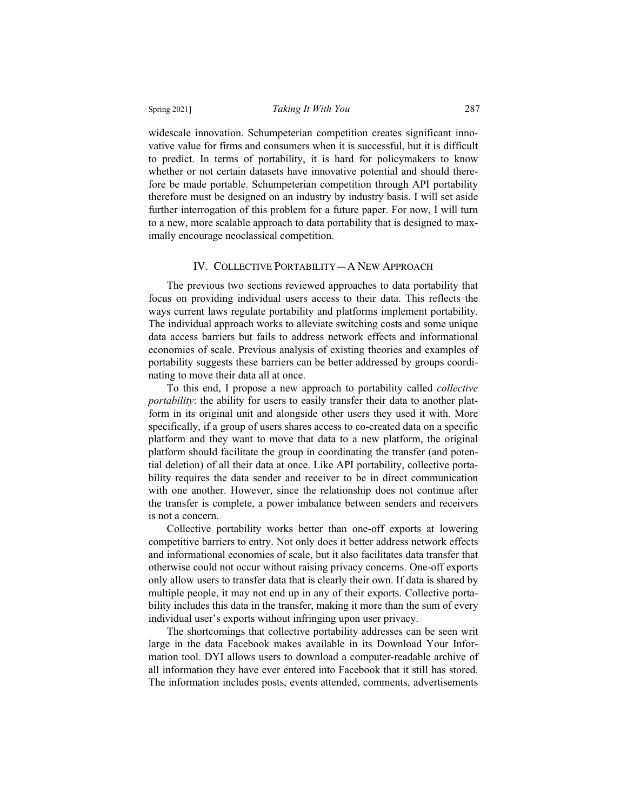widescale innovation. Schumpeterian competition creates significant innovative value for firms and consumers when it is successful, but it is difficult to predict. In terms of portability, it is hard for policymakers to know whether or not certain datasets have innovative potential and should therefore be made portable. Schumpeterian competition through API portability therefore must be designed on an industry by industry basis. I will set aside further interrogation of this problem for a future paper. For now, I will turn to a new, more scalable approach to data portability that is designed to maximally encourage neoclassical competition.

# IV. COLLECTIVE PORTABILITY—A NEW APPROACH

The previous two sections reviewed approaches to data portability that focus on providing individual users access to their data. This reflects the ways current laws regulate portability and platforms implement portability. The individual approach works to alleviate switching costs and some unique data access barriers but fails to address network effects and informational economies of scale. Previous analysis of existing theories and examples of portability suggests these barriers can be better addressed by groups coordinating to move their data all at once.

To this end, I propose a new approach to portability called *collective portability*: the ability for users to easily transfer their data to another platform in its original unit and alongside other users they used it with. More specifically, if a group of users shares access to co-created data on a specific platform and they want to move that data to a new platform, the original platform should facilitate the group in coordinating the transfer (and potential deletion) of all their data at once. Like API portability, collective portability requires the data sender and receiver to be in direct communication with one another. However, since the relationship does not continue after the transfer is complete, a power imbalance between senders and receivers is not a concern.

Collective portability works better than one-off exports at lowering competitive barriers to entry. Not only does it better address network effects and informational economies of scale, but it also facilitates data transfer that otherwise could not occur without raising privacy concerns. One-off exports only allow users to transfer data that is clearly their own. If data is shared by multiple people, it may not end up in any of their exports. Collective portability includes this data in the transfer, making it more than the sum of every individual user's exports without infringing upon user privacy.

The shortcomings that collective portability addresses can be seen writ large in the data Facebook makes available in its Download Your Information tool. DYI allows users to download a computer-readable archive of all information they have ever entered into Facebook that it still has stored. The information includes posts, events attended, comments, advertisements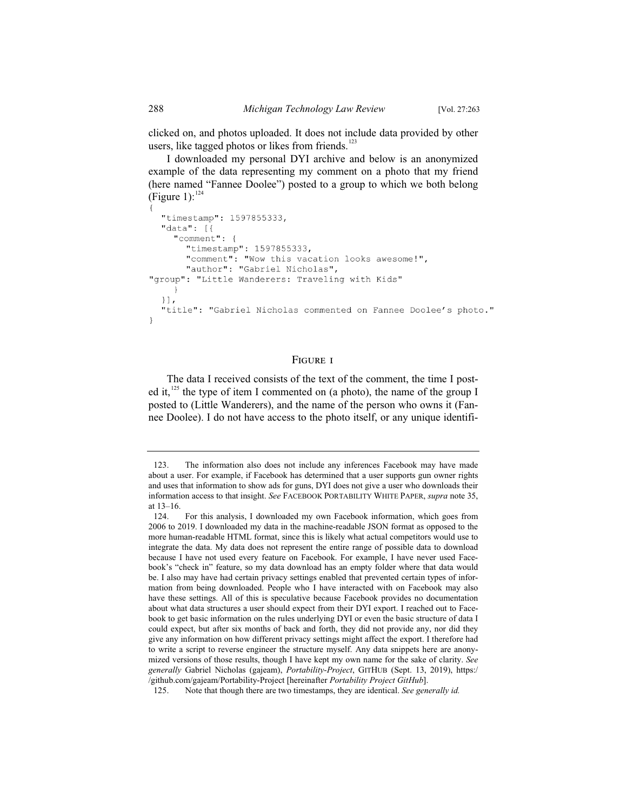clicked on, and photos uploaded. It does not include data provided by other users, like tagged photos or likes from friends.<sup>123</sup>

I downloaded my personal DYI archive and below is an anonymized example of the data representing my comment on a photo that my friend (here named "Fannee Doolee") posted to a group to which we both belong (Figure 1): $^{124}$ 

```
"timestamp": 1597855333,
  "data": [{
    "comment " : 
       " timestamp": 1597855333 , 
       " comment": "Wow this vacation looks awesome!",
       " author": "Gabriel Nicholas",
"group": "Little Wanderers: Traveling with Kids"
    } 
  } ], 
  "title": "Gabriel Nicholas commented on Fannee Doolee's photo."
```
# Figure 1

The data I received consists of the text of the comment, the time I posted it, $125$  the type of item I commented on (a photo), the name of the group I posted to (Little Wanderers), and the name of the person who owns it (Fannee Doolee). I do not have access to the photo itself, or any unique identifi-

<sup>123.</sup> The information also does not include any inferences Facebook may have made about a user. For example, if Facebook has determined that a user supports gun owner rights and uses that information to show ads for guns, DYI does not give a user who downloads their information access to that insight. *See* FACEBOOK PORTABILITY WHITE PAPER, *supra* note 35, at 13–16.

<sup>124.</sup> For this analysis, I downloaded my own Facebook information, which goes from 2006 to 2019. I downloaded my data in the machine-readable JSON format as opposed to the more human-readable HTML format, since this is likely what actual competitors would use to integrate the data. My data does not represent the entire range of possible data to download because I have not used every feature on Facebook. For example, I have never used Facebook's "check in" feature, so my data download has an empty folder where that data would be. I also may have had certain privacy settings enabled that prevented certain types of information from being downloaded. People who I have interacted with on Facebook may also have these settings. All of this is speculative because Facebook provides no documentation about what data structures a user should expect from their DYI export. I reached out to Facebook to get basic information on the rules underlying DYI or even the basic structure of data I could expect, but after six months of back and forth, they did not provide any, nor did they give any information on how different privacy settings might affect the export. I therefore had to write a script to reverse engineer the structure myself. Any data snippets here are anonymized versions of those results, though I have kept my own name for the sake of clarity. *See generally* Gabriel Nicholas (gajeam), *Portability-Project*, GITHUB (Sept. 13, 2019), https:/ /github.com/gajeam/Portability-Project [hereinafter *Portability Project GitHub*].

<sup>125.</sup> Note that though there are two timestamps, they are identical. *See generally id.*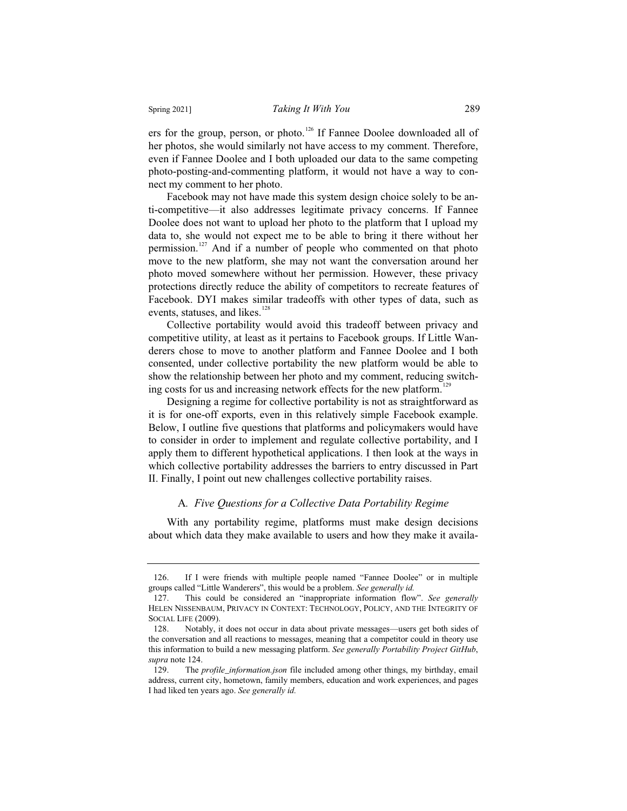ers for the group, person, or photo.<sup>126</sup> If Fannee Doolee downloaded all of her photos, she would similarly not have access to my comment. Therefore, even if Fannee Doolee and I both uploaded our data to the same competing photo-posting-and-commenting platform, it would not have a way to connect my comment to her photo.

Facebook may not have made this system design choice solely to be anti-competitive—it also addresses legitimate privacy concerns. If Fannee Doolee does not want to upload her photo to the platform that I upload my data to, she would not expect me to be able to bring it there without her permission.<sup>127</sup> And if a number of people who commented on that photo move to the new platform, she may not want the conversation around her photo moved somewhere without her permission. However, these privacy protections directly reduce the ability of competitors to recreate features of Facebook. DYI makes similar tradeoffs with other types of data, such as events, statuses, and likes.<sup>128</sup>

Collective portability would avoid this tradeoff between privacy and competitive utility, at least as it pertains to Facebook groups. If Little Wanderers chose to move to another platform and Fannee Doolee and I both consented, under collective portability the new platform would be able to show the relationship between her photo and my comment, reducing switching costs for us and increasing network effects for the new platform.<sup>1</sup>

Designing a regime for collective portability is not as straightforward as it is for one-off exports, even in this relatively simple Facebook example. Below, I outline five questions that platforms and policymakers would have to consider in order to implement and regulate collective portability, and I apply them to different hypothetical applications. I then look at the ways in which collective portability addresses the barriers to entry discussed in Part II. Finally, I point out new challenges collective portability raises.

# A*. Five Questions for a Collective Data Portability Regime*

With any portability regime, platforms must make design decisions about which data they make available to users and how they make it availa-

<sup>126.</sup> If I were friends with multiple people named "Fannee Doolee" or in multiple groups called "Little Wanderers", this would be a problem. *See generally id.*

<sup>127.</sup> This could be considered an "inappropriate information flow". *See generally* HELEN NISSENBAUM, PRIVACY IN CONTEXT: TECHNOLOGY, POLICY, AND THE INTEGRITY OF SOCIAL LIFE (2009).

<sup>128.</sup> Notably, it does not occur in data about private messages—users get both sides of the conversation and all reactions to messages, meaning that a competitor could in theory use this information to build a new messaging platform. *See generally Portability Project GitHub*, *supra* note 124.

<sup>129.</sup> The *profile\_information.json* file included among other things, my birthday, email address, current city, hometown, family members, education and work experiences, and pages I had liked ten years ago. *See generally id.*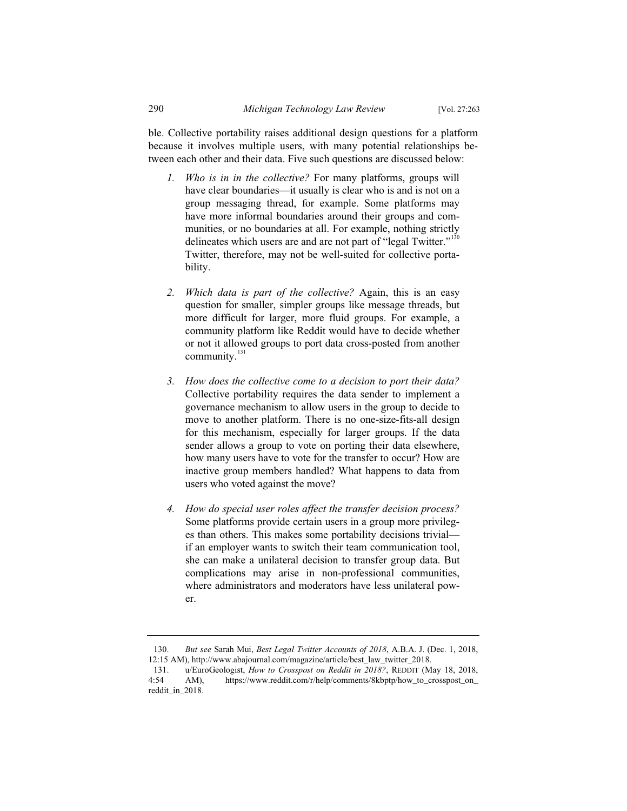ble. Collective portability raises additional design questions for a platform because it involves multiple users, with many potential relationships between each other and their data. Five such questions are discussed below:

- *1. Who is in in the collective?* For many platforms, groups will have clear boundaries—it usually is clear who is and is not on a group messaging thread, for example. Some platforms may have more informal boundaries around their groups and communities, or no boundaries at all. For example, nothing strictly delineates which users are and are not part of "legal Twitter."<sup>130</sup> Twitter, therefore, may not be well-suited for collective portability.
- *2. Which data is part of the collective?* Again, this is an easy question for smaller, simpler groups like message threads, but more difficult for larger, more fluid groups. For example, a community platform like Reddit would have to decide whether or not it allowed groups to port data cross-posted from another community.<sup>131</sup>
- *3. How does the collective come to a decision to port their data?* Collective portability requires the data sender to implement a governance mechanism to allow users in the group to decide to move to another platform. There is no one-size-fits-all design for this mechanism, especially for larger groups. If the data sender allows a group to vote on porting their data elsewhere, how many users have to vote for the transfer to occur? How are inactive group members handled? What happens to data from users who voted against the move?
- *4. How do special user roles affect the transfer decision process?* Some platforms provide certain users in a group more privileges than others. This makes some portability decisions trivial if an employer wants to switch their team communication tool, she can make a unilateral decision to transfer group data. But complications may arise in non-professional communities, where administrators and moderators have less unilateral power.

<sup>130.</sup> *But see* Sarah Mui, *Best Legal Twitter Accounts of 2018*, A.B.A. J. (Dec. 1, 2018, 12:15 AM), http://www.abajournal.com/magazine/article/best\_law\_twitter\_2018.

<sup>131.</sup> u/EuroGeologist, *How to Crosspost on Reddit in 2018?*, REDDIT (May 18, 2018, AM), https://www.reddit.com/r/help/comments/8kbptp/how\_to\_crosspost\_on\_ reddit\_in\_2018.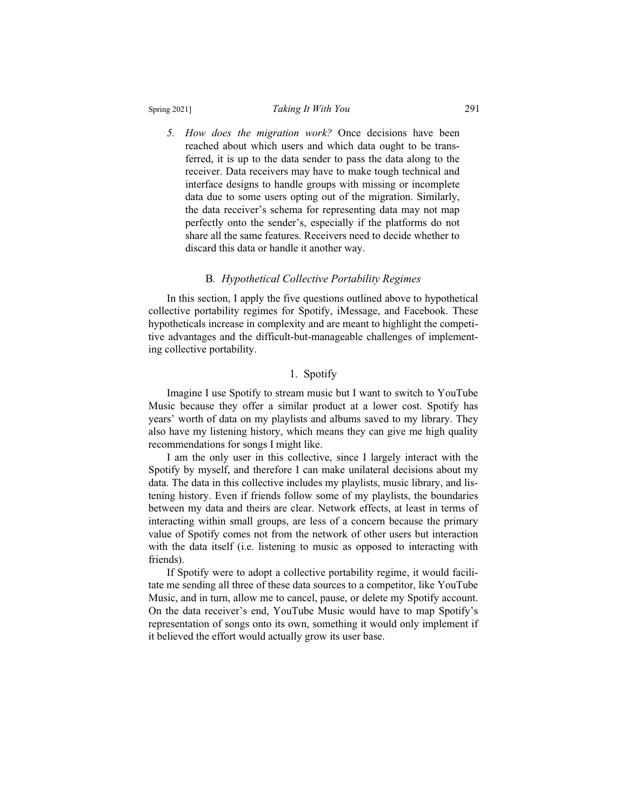# Spring 2021] *Taking It With You* 291

*5. How does the migration work?* Once decisions have been reached about which users and which data ought to be transferred, it is up to the data sender to pass the data along to the receiver. Data receivers may have to make tough technical and interface designs to handle groups with missing or incomplete data due to some users opting out of the migration. Similarly, the data receiver's schema for representing data may not map perfectly onto the sender's, especially if the platforms do not share all the same features. Receivers need to decide whether to discard this data or handle it another way.

# B*. Hypothetical Collective Portability Regimes*

In this section, I apply the five questions outlined above to hypothetical collective portability regimes for Spotify, iMessage, and Facebook. These hypotheticals increase in complexity and are meant to highlight the competitive advantages and the difficult-but-manageable challenges of implementing collective portability.

# 1. Spotify

Imagine I use Spotify to stream music but I want to switch to YouTube Music because they offer a similar product at a lower cost. Spotify has years' worth of data on my playlists and albums saved to my library. They also have my listening history, which means they can give me high quality recommendations for songs I might like.

I am the only user in this collective, since I largely interact with the Spotify by myself, and therefore I can make unilateral decisions about my data. The data in this collective includes my playlists, music library, and listening history. Even if friends follow some of my playlists, the boundaries between my data and theirs are clear. Network effects, at least in terms of interacting within small groups, are less of a concern because the primary value of Spotify comes not from the network of other users but interaction with the data itself (i.e. listening to music as opposed to interacting with friends).

If Spotify were to adopt a collective portability regime, it would facilitate me sending all three of these data sources to a competitor, like YouTube Music, and in turn, allow me to cancel, pause, or delete my Spotify account. On the data receiver's end, YouTube Music would have to map Spotify's representation of songs onto its own, something it would only implement if it believed the effort would actually grow its user base.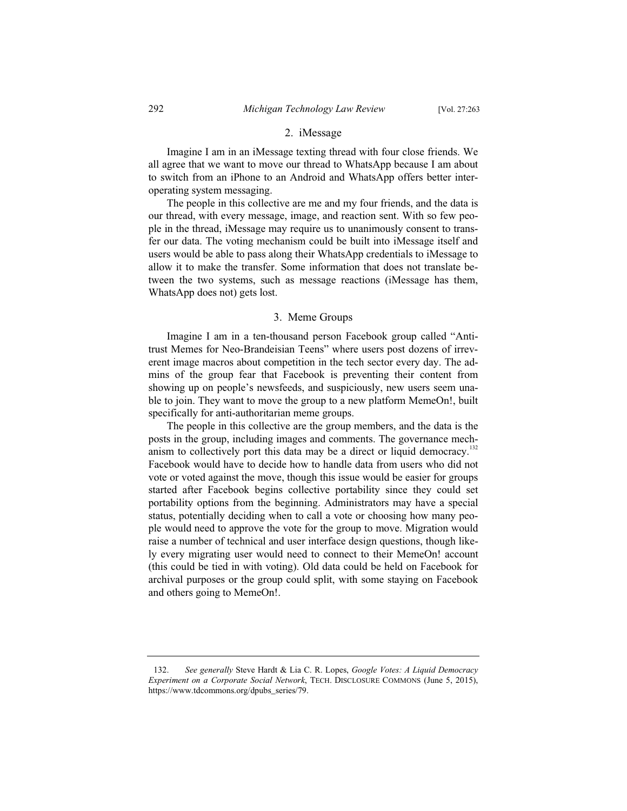### 2. iMessage

Imagine I am in an iMessage texting thread with four close friends. We all agree that we want to move our thread to WhatsApp because I am about to switch from an iPhone to an Android and WhatsApp offers better interoperating system messaging.

The people in this collective are me and my four friends, and the data is our thread, with every message, image, and reaction sent. With so few people in the thread, iMessage may require us to unanimously consent to transfer our data. The voting mechanism could be built into iMessage itself and users would be able to pass along their WhatsApp credentials to iMessage to allow it to make the transfer. Some information that does not translate between the two systems, such as message reactions (iMessage has them, WhatsApp does not) gets lost.

## 3. Meme Groups

Imagine I am in a ten-thousand person Facebook group called "Antitrust Memes for Neo-Brandeisian Teens" where users post dozens of irreverent image macros about competition in the tech sector every day. The admins of the group fear that Facebook is preventing their content from showing up on people's newsfeeds, and suspiciously, new users seem unable to join. They want to move the group to a new platform MemeOn!, built specifically for anti-authoritarian meme groups.

The people in this collective are the group members, and the data is the posts in the group, including images and comments. The governance mechanism to collectively port this data may be a direct or liquid democracy.<sup>132</sup> Facebook would have to decide how to handle data from users who did not vote or voted against the move, though this issue would be easier for groups started after Facebook begins collective portability since they could set portability options from the beginning. Administrators may have a special status, potentially deciding when to call a vote or choosing how many people would need to approve the vote for the group to move. Migration would raise a number of technical and user interface design questions, though likely every migrating user would need to connect to their MemeOn! account (this could be tied in with voting). Old data could be held on Facebook for archival purposes or the group could split, with some staying on Facebook and others going to MemeOn!.

<sup>132.</sup> *See generally* Steve Hardt & Lia C. R. Lopes, *Google Votes: A Liquid Democracy Experiment on a Corporate Social Network*, TECH. DISCLOSURE COMMONS (June 5, 2015), https://www.tdcommons.org/dpubs\_series/79.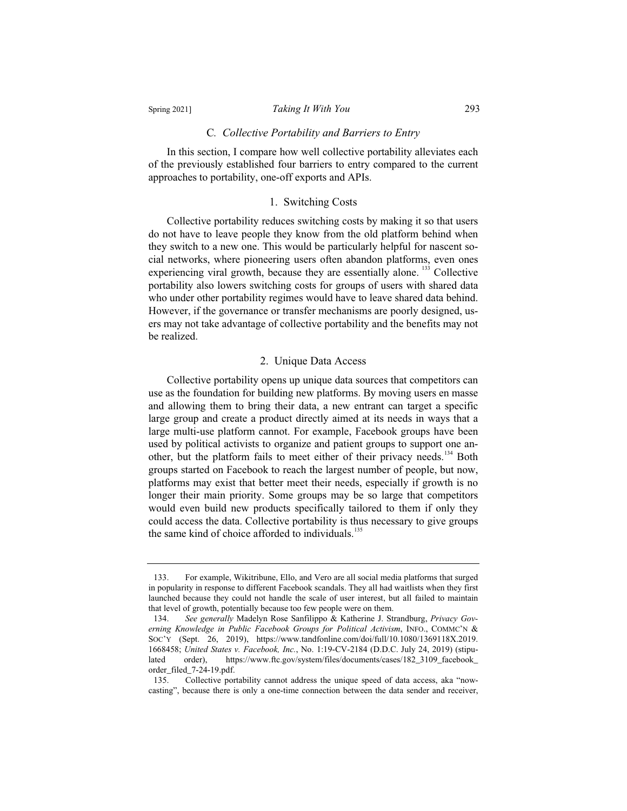# Spring 2021] *Taking It With You* 293

# C*. Collective Portability and Barriers to Entry*

In this section, I compare how well collective portability alleviates each of the previously established four barriers to entry compared to the current approaches to portability, one-off exports and APIs.

# 1. Switching Costs

Collective portability reduces switching costs by making it so that users do not have to leave people they know from the old platform behind when they switch to a new one. This would be particularly helpful for nascent social networks, where pioneering users often abandon platforms, even ones experiencing viral growth, because they are essentially alone.<sup>133</sup> Collective portability also lowers switching costs for groups of users with shared data who under other portability regimes would have to leave shared data behind. However, if the governance or transfer mechanisms are poorly designed, users may not take advantage of collective portability and the benefits may not be realized.

# 2. Unique Data Access

Collective portability opens up unique data sources that competitors can use as the foundation for building new platforms. By moving users en masse and allowing them to bring their data, a new entrant can target a specific large group and create a product directly aimed at its needs in ways that a large multi-use platform cannot. For example, Facebook groups have been used by political activists to organize and patient groups to support one another, but the platform fails to meet either of their privacy needs.<sup>134</sup> Both groups started on Facebook to reach the largest number of people, but now, platforms may exist that better meet their needs, especially if growth is no longer their main priority. Some groups may be so large that competitors would even build new products specifically tailored to them if only they could access the data. Collective portability is thus necessary to give groups the same kind of choice afforded to individuals.<sup>135</sup>

<sup>133.</sup> For example, Wikitribune, Ello, and Vero are all social media platforms that surged in popularity in response to different Facebook scandals. They all had waitlists when they first launched because they could not handle the scale of user interest, but all failed to maintain that level of growth, potentially because too few people were on them.

<sup>134.</sup> *See generally* Madelyn Rose Sanfilippo & Katherine J. Strandburg, *Privacy Governing Knowledge in Public Facebook Groups for Political Activism*, INFO., COMMC'N & SOC'Y (Sept. 26, 2019), https://www.tandfonline.com/doi/full/10.1080/1369118X.2019. 1668458; *United States v. Facebook, Inc.*, No. 1:19-CV-2184 (D.D.C. July 24, 2019) (stipulated order), https://www.ftc.gov/system/files/documents/cases/182\_3109\_facebook\_ order\_filed\_7-24-19.pdf.

<sup>135.</sup> Collective portability cannot address the unique speed of data access, aka "nowcasting", because there is only a one-time connection between the data sender and receiver,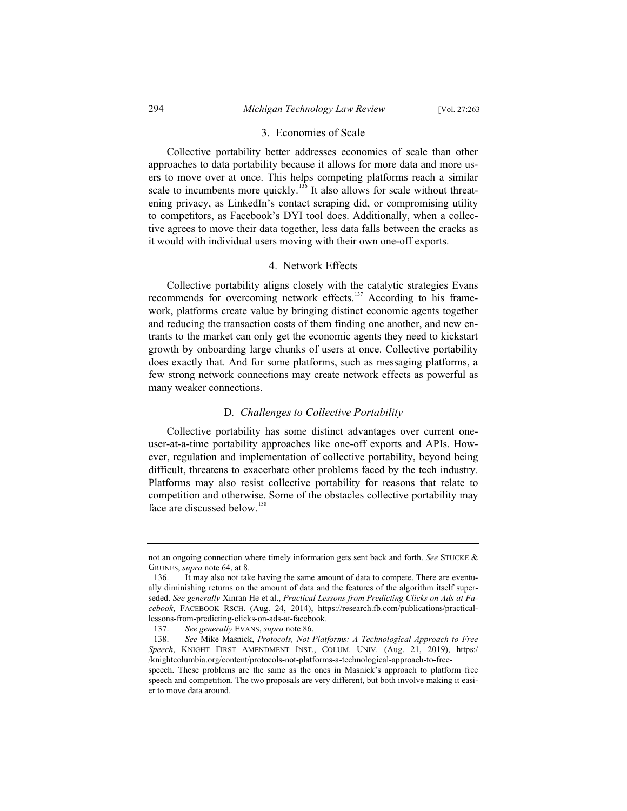# 3. Economies of Scale

Collective portability better addresses economies of scale than other approaches to data portability because it allows for more data and more users to move over at once. This helps competing platforms reach a similar scale to incumbents more quickly.<sup>136</sup> It also allows for scale without threatening privacy, as LinkedIn's contact scraping did, or compromising utility to competitors, as Facebook's DYI tool does. Additionally, when a collective agrees to move their data together, less data falls between the cracks as it would with individual users moving with their own one-off exports.

# 4. Network Effects

Collective portability aligns closely with the catalytic strategies Evans recommends for overcoming network effects.<sup>137</sup> According to his framework, platforms create value by bringing distinct economic agents together and reducing the transaction costs of them finding one another, and new entrants to the market can only get the economic agents they need to kickstart growth by onboarding large chunks of users at once. Collective portability does exactly that. And for some platforms, such as messaging platforms, a few strong network connections may create network effects as powerful as many weaker connections.

### D*. Challenges to Collective Portability*

Collective portability has some distinct advantages over current oneuser-at-a-time portability approaches like one-off exports and APIs. However, regulation and implementation of collective portability, beyond being difficult, threatens to exacerbate other problems faced by the tech industry. Platforms may also resist collective portability for reasons that relate to competition and otherwise. Some of the obstacles collective portability may face are discussed below.<sup>138</sup>

not an ongoing connection where timely information gets sent back and forth. *See* STUCKE & GRUNES, *supra* note 64, at 8.

<sup>136.</sup> It may also not take having the same amount of data to compete. There are eventually diminishing returns on the amount of data and the features of the algorithm itself superseded. *See generally* Xinran He et al., *Practical Lessons from Predicting Clicks on Ads at Facebook*, FACEBOOK RSCH. (Aug. 24, 2014), https://research.fb.com/publications/practicallessons-from-predicting-clicks-on-ads-at-facebook.

<sup>137.</sup> *See generally* EVANS, *supra* note 86.

<sup>138.</sup> *See* Mike Masnick, *Protocols, Not Platforms: A Technological Approach to Free Speech*, KNIGHT FIRST AMENDMENT INST., COLUM. UNIV. (Aug. 21, 2019), https:/ /knightcolumbia.org/content/protocols-not-platforms-a-technological-approach-to-free-

speech. These problems are the same as the ones in Masnick's approach to platform free speech and competition. The two proposals are very different, but both involve making it easier to move data around.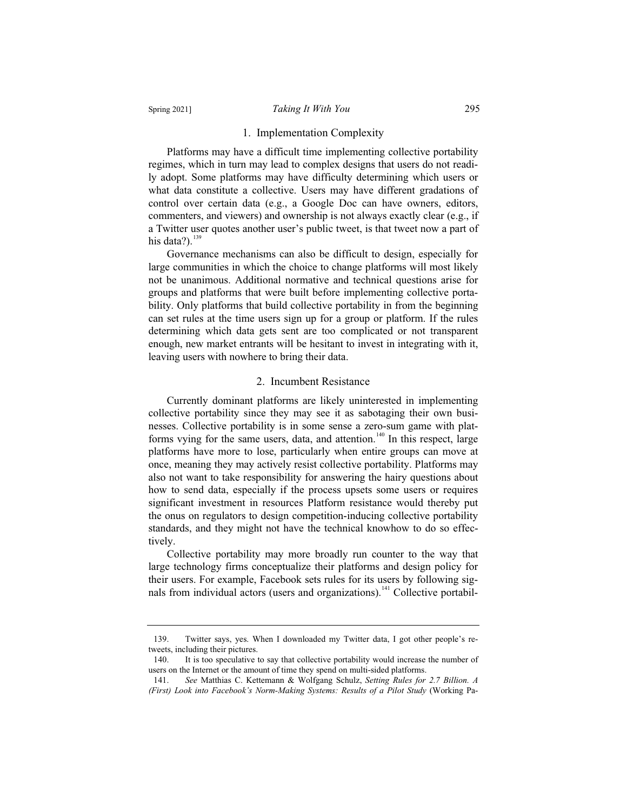# Spring 2021] *Taking It With You* 295

# 1. Implementation Complexity

Platforms may have a difficult time implementing collective portability regimes, which in turn may lead to complex designs that users do not readily adopt. Some platforms may have difficulty determining which users or what data constitute a collective. Users may have different gradations of control over certain data (e.g., a Google Doc can have owners, editors, commenters, and viewers) and ownership is not always exactly clear (e.g., if a Twitter user quotes another user's public tweet, is that tweet now a part of his data?). $139$ 

Governance mechanisms can also be difficult to design, especially for large communities in which the choice to change platforms will most likely not be unanimous. Additional normative and technical questions arise for groups and platforms that were built before implementing collective portability. Only platforms that build collective portability in from the beginning can set rules at the time users sign up for a group or platform. If the rules determining which data gets sent are too complicated or not transparent enough, new market entrants will be hesitant to invest in integrating with it, leaving users with nowhere to bring their data.

### 2. Incumbent Resistance

Currently dominant platforms are likely uninterested in implementing collective portability since they may see it as sabotaging their own businesses. Collective portability is in some sense a zero-sum game with platforms vying for the same users, data, and attention.<sup>140</sup> In this respect, large platforms have more to lose, particularly when entire groups can move at once, meaning they may actively resist collective portability. Platforms may also not want to take responsibility for answering the hairy questions about how to send data, especially if the process upsets some users or requires significant investment in resources Platform resistance would thereby put the onus on regulators to design competition-inducing collective portability standards, and they might not have the technical knowhow to do so effectively.

Collective portability may more broadly run counter to the way that large technology firms conceptualize their platforms and design policy for their users. For example, Facebook sets rules for its users by following signals from individual actors (users and organizations).<sup>141</sup> Collective portabil-

<sup>139.</sup> Twitter says, yes. When I downloaded my Twitter data, I got other people's retweets, including their pictures.

<sup>140.</sup> It is too speculative to say that collective portability would increase the number of users on the Internet or the amount of time they spend on multi-sided platforms.

<sup>141.</sup> *See* Matthias C. Kettemann & Wolfgang Schulz, *Setting Rules for 2.7 Billion. A (First) Look into Facebook's Norm-Making Systems: Results of a Pilot Study* (Working Pa-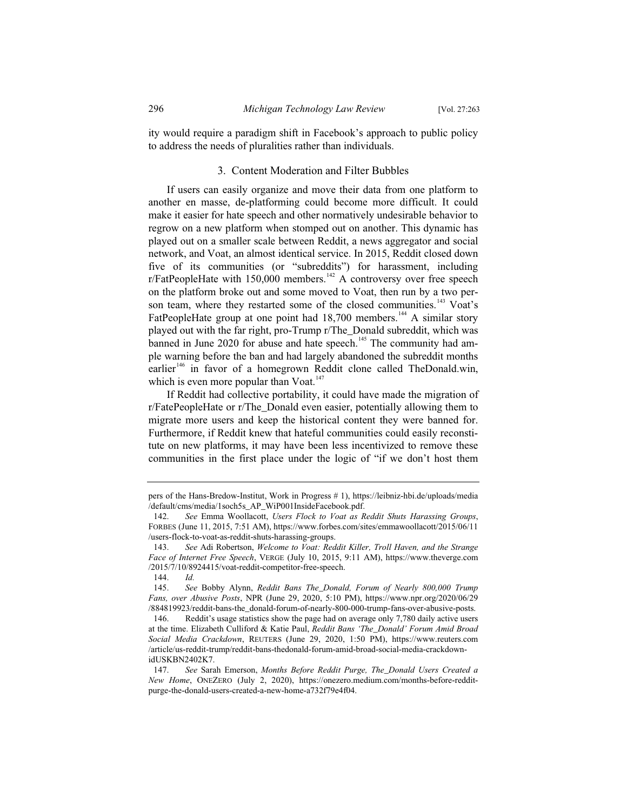ity would require a paradigm shift in Facebook's approach to public policy to address the needs of pluralities rather than individuals.

# 3. Content Moderation and Filter Bubbles

If users can easily organize and move their data from one platform to another en masse, de-platforming could become more difficult. It could make it easier for hate speech and other normatively undesirable behavior to regrow on a new platform when stomped out on another. This dynamic has played out on a smaller scale between Reddit, a news aggregator and social network, and Voat, an almost identical service. In 2015, Reddit closed down five of its communities (or "subreddits") for harassment, including r/FatPeopleHate with 150,000 members.<sup>142</sup> A controversy over free speech on the platform broke out and some moved to Voat, then run by a two person team, where they restarted some of the closed communities.<sup>143</sup> Voat's FatPeopleHate group at one point had  $18,700$  members.<sup>144</sup> A similar story played out with the far right, pro-Trump r/The\_Donald subreddit, which was banned in June 2020 for abuse and hate speech.<sup>145</sup> The community had ample warning before the ban and had largely abandoned the subreddit months earlier<sup>146</sup> in favor of a homegrown Reddit clone called TheDonald.win, which is even more popular than  $V$ oat.<sup>147</sup>

If Reddit had collective portability, it could have made the migration of r/FatePeopleHate or r/The\_Donald even easier, potentially allowing them to migrate more users and keep the historical content they were banned for. Furthermore, if Reddit knew that hateful communities could easily reconstitute on new platforms, it may have been less incentivized to remove these communities in the first place under the logic of "if we don't host them

pers of the Hans-Bredow-Institut, Work in Progress # 1), https://leibniz-hbi.de/uploads/media /default/cms/media/1soch5s\_AP\_WiP001InsideFacebook.pdf.

<sup>142.</sup> *See* Emma Woollacott, *Users Flock to Voat as Reddit Shuts Harassing Groups*, FORBES (June 11, 2015, 7:51 AM), https://www.forbes.com/sites/emmawoollacott/2015/06/11 /users-flock-to-voat-as-reddit-shuts-harassing-groups.

<sup>143.</sup> *See* Adi Robertson, *Welcome to Voat: Reddit Killer, Troll Haven, and the Strange Face of Internet Free Speech*, VERGE (July 10, 2015, 9:11 AM), https://www.theverge.com /2015/7/10/8924415/voat-reddit-competitor-free-speech.

<sup>144.</sup> *Id.*

<sup>145.</sup> *See* Bobby Alynn, *Reddit Bans The\_Donald, Forum of Nearly 800,000 Trump Fans, over Abusive Posts*, NPR (June 29, 2020, 5:10 PM), https://www.npr.org/2020/06/29 /884819923/reddit-bans-the\_donald-forum-of-nearly-800-000-trump-fans-over-abusive-posts.

<sup>146.</sup> Reddit's usage statistics show the page had on average only 7,780 daily active users at the time. Elizabeth Culliford & Katie Paul, *Reddit Bans 'The\_Donald' Forum Amid Broad Social Media Crackdown*, REUTERS (June 29, 2020, 1:50 PM), https://www.reuters.com /article/us-reddit-trump/reddit-bans-thedonald-forum-amid-broad-social-media-crackdownidUSKBN2402K7.

<sup>147.</sup> *See* Sarah Emerson, *Months Before Reddit Purge, The\_Donald Users Created a New Home*, ONEZERO (July 2, 2020), https://onezero.medium.com/months-before-redditpurge-the-donald-users-created-a-new-home-a732f79e4f04.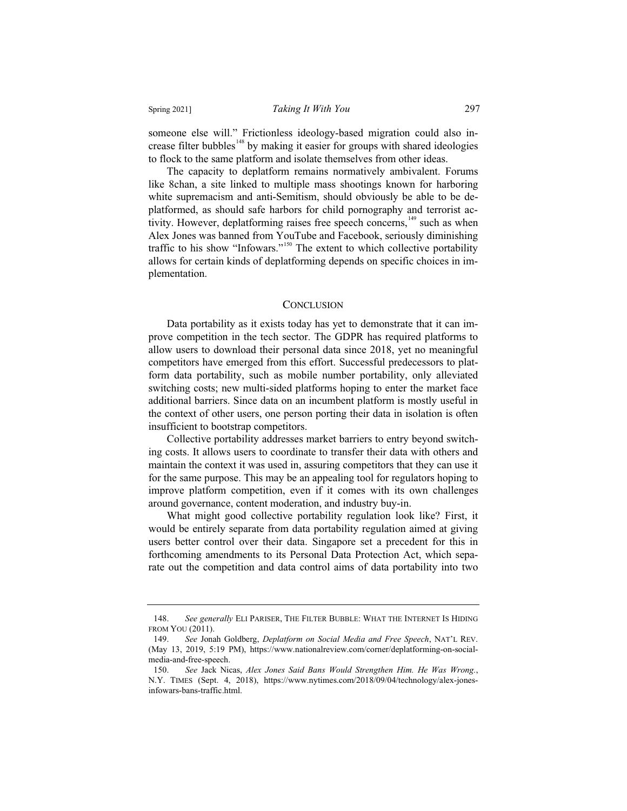someone else will." Frictionless ideology-based migration could also increase filter bubbles<sup>148</sup> by making it easier for groups with shared ideologies to flock to the same platform and isolate themselves from other ideas.

The capacity to deplatform remains normatively ambivalent. Forums like 8chan, a site linked to multiple mass shootings known for harboring white supremacism and anti-Semitism, should obviously be able to be deplatformed, as should safe harbors for child pornography and terrorist activity. However, deplatforming raises free speech concerns,<sup>149</sup> such as when Alex Jones was banned from YouTube and Facebook, seriously diminishing traffic to his show "Infowars."<sup>150</sup> The extent to which collective portability allows for certain kinds of deplatforming depends on specific choices in implementation.

### **CONCLUSION**

Data portability as it exists today has yet to demonstrate that it can improve competition in the tech sector. The GDPR has required platforms to allow users to download their personal data since 2018, yet no meaningful competitors have emerged from this effort. Successful predecessors to platform data portability, such as mobile number portability, only alleviated switching costs; new multi-sided platforms hoping to enter the market face additional barriers. Since data on an incumbent platform is mostly useful in the context of other users, one person porting their data in isolation is often insufficient to bootstrap competitors.

Collective portability addresses market barriers to entry beyond switching costs. It allows users to coordinate to transfer their data with others and maintain the context it was used in, assuring competitors that they can use it for the same purpose. This may be an appealing tool for regulators hoping to improve platform competition, even if it comes with its own challenges around governance, content moderation, and industry buy-in.

What might good collective portability regulation look like? First, it would be entirely separate from data portability regulation aimed at giving users better control over their data. Singapore set a precedent for this in forthcoming amendments to its Personal Data Protection Act, which separate out the competition and data control aims of data portability into two

<sup>148.</sup> *See generally* ELI PARISER, THE FILTER BUBBLE: WHAT THE INTERNET IS HIDING FROM YOU (2011).

<sup>149.</sup> *See* Jonah Goldberg, *Deplatform on Social Media and Free Speech*, NAT'L REV. (May 13, 2019, 5:19 PM), https://www.nationalreview.com/corner/deplatforming-on-socialmedia-and-free-speech.

<sup>150.</sup> *See* Jack Nicas, *Alex Jones Said Bans Would Strengthen Him. He Was Wrong.*, N.Y. TIMES (Sept. 4, 2018), https://www.nytimes.com/2018/09/04/technology/alex-jonesinfowars-bans-traffic.html.